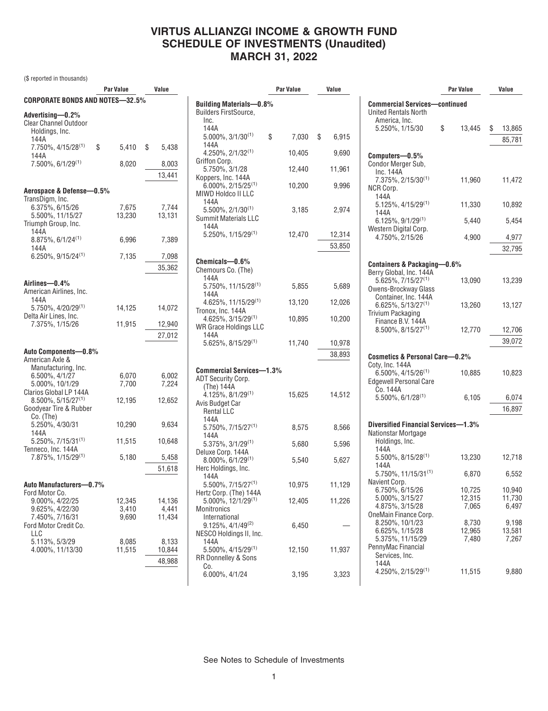(\$ reported in thousands)

|                                                                     | Par Value       | Value           |
|---------------------------------------------------------------------|-----------------|-----------------|
| CORPORATE BONDS AND NOTES—32.5%                                     |                 |                 |
| Advertising—0.2%<br>Clear Channel Outdoor<br>Holdings, Inc.<br>144A |                 |                 |
| 7.750%, 4/15/28 <sup>(1)</sup><br>144A                              | \$<br>5,410     | \$<br>5,438     |
| $7.500\%$ , 6/1/29 <sup>(1)</sup>                                   | 8,020           | 8,003<br>13,441 |
|                                                                     |                 |                 |
| Aerospace & Defense-0.5%                                            |                 |                 |
| TransDigm, Inc.<br>6.375%, 6/15/26                                  | 7,675           | 7,744           |
|                                                                     | 13,230          | 13,131          |
| 5.500%, 11/15/27<br>Triumph Group, Inc.<br>144A                     |                 |                 |
| 8.875%, 6/1/24(1)<br>144A                                           | 6,996           | 7,389           |
| $6.250\%, 9/15/24^{(1)}$                                            | 7,135           | 7,098           |
|                                                                     |                 | 35,362          |
|                                                                     |                 |                 |
| Airlines-0.4%<br>American Airlines, Inc.<br>144A                    |                 |                 |
| 5.750%, 4/20/29 <sup>(1)</sup><br>Delta Air Lines, Inc.             | 14,125          | 14,072          |
| 7.375%, 1/15/26                                                     | 11,915          | 12,940          |
|                                                                     |                 | 27,012          |
|                                                                     |                 |                 |
| Auto Components-0.8%                                                |                 |                 |
| American Axle &                                                     |                 |                 |
| Manufacturing, Inc.                                                 |                 |                 |
| 6.500%, 4/1/27                                                      | 6.070           | 6,002           |
| 5.000%, 10/1/29                                                     | 7,700           | 7,224           |
| Clarios Global LP 144A                                              |                 |                 |
| $8.500\%$ , 5/15/27 <sup>(1)</sup><br>Goodyear Tire & Rubber        | 12,195          | 12,652          |
| Co. (The)                                                           |                 |                 |
| 5.250%, 4/30/31                                                     | 10,290          | 9,634           |
| 144A                                                                |                 |                 |
| $5.250\%, 7/15/31^{(1)}$                                            | 11,515          | 10,648          |
| Tenneco, Inc. 144A<br>7.875%, 1/15/29 <sup>(1)</sup>                | 5.180           | 5,458           |
|                                                                     |                 |                 |
|                                                                     |                 | 51,618          |
| Auto Manufacturers-0.7%                                             |                 |                 |
| Ford Motor Co.                                                      |                 |                 |
| 9.000%, 4/22/25                                                     | 12,345          | 14,136          |
| 9.625%, 4/22/30                                                     | 3,410           | 4,441           |
| 7.450%, 7/16/31                                                     | 9,690           | 11,434          |
| Ford Motor Credit Co.                                               |                 |                 |
| LLC                                                                 |                 |                 |
| 5.113%, 5/3/29<br>4.000%, 11/13/30                                  | 8,085<br>11,515 | 8,133<br>10,844 |
|                                                                     |                 |                 |
|                                                                     |                 | 48,988          |

|                                      |                                                                                                                                                                | Value    |
|--------------------------------------|----------------------------------------------------------------------------------------------------------------------------------------------------------------|----------|
|                                      |                                                                                                                                                                |          |
|                                      |                                                                                                                                                                |          |
|                                      |                                                                                                                                                                |          |
|                                      |                                                                                                                                                                |          |
|                                      |                                                                                                                                                                | 6,915    |
|                                      |                                                                                                                                                                | 9,690    |
|                                      |                                                                                                                                                                |          |
|                                      |                                                                                                                                                                | 11,961   |
|                                      |                                                                                                                                                                |          |
| 10,200                               |                                                                                                                                                                | 9,996    |
|                                      |                                                                                                                                                                |          |
|                                      |                                                                                                                                                                |          |
|                                      |                                                                                                                                                                | 2,974    |
|                                      |                                                                                                                                                                |          |
|                                      |                                                                                                                                                                |          |
|                                      |                                                                                                                                                                | 12,314   |
|                                      |                                                                                                                                                                | 53,850   |
|                                      |                                                                                                                                                                |          |
|                                      |                                                                                                                                                                |          |
|                                      |                                                                                                                                                                |          |
|                                      |                                                                                                                                                                | 5,689    |
|                                      |                                                                                                                                                                |          |
| 13,120                               |                                                                                                                                                                | 12,026   |
|                                      |                                                                                                                                                                |          |
|                                      |                                                                                                                                                                | 10,200   |
|                                      |                                                                                                                                                                |          |
|                                      |                                                                                                                                                                | 10,978   |
|                                      |                                                                                                                                                                |          |
|                                      |                                                                                                                                                                | 38,893   |
|                                      |                                                                                                                                                                |          |
|                                      |                                                                                                                                                                |          |
|                                      |                                                                                                                                                                |          |
| 15,625                               |                                                                                                                                                                | 14,512   |
|                                      |                                                                                                                                                                |          |
|                                      |                                                                                                                                                                |          |
|                                      |                                                                                                                                                                |          |
|                                      |                                                                                                                                                                | 8,566    |
|                                      |                                                                                                                                                                |          |
|                                      |                                                                                                                                                                | 5,596    |
|                                      |                                                                                                                                                                | 5,627    |
|                                      |                                                                                                                                                                |          |
|                                      |                                                                                                                                                                |          |
| 10,975                               |                                                                                                                                                                | 11,129   |
|                                      |                                                                                                                                                                |          |
| 12,405                               |                                                                                                                                                                | 11,226   |
|                                      |                                                                                                                                                                |          |
|                                      |                                                                                                                                                                |          |
|                                      |                                                                                                                                                                |          |
|                                      |                                                                                                                                                                |          |
|                                      |                                                                                                                                                                | 11,937   |
|                                      |                                                                                                                                                                |          |
|                                      |                                                                                                                                                                |          |
| 3,195                                |                                                                                                                                                                | 3,323    |
|                                      |                                                                                                                                                                |          |
| <b>Building Materials-0.8%</b><br>\$ | Par Value<br>10,405<br>12,440<br>3,185<br>12,470<br>5,855<br>10,895<br>11,740<br><b>Commercial Services-1.3%</b><br>8,575<br>5,680<br>5,540<br>6,450<br>12,150 | 7,030 \$ |

|                                                                                                     | Par Value    | Value        |
|-----------------------------------------------------------------------------------------------------|--------------|--------------|
| <b>Commercial Services-continued</b><br><b>United Rentals North</b>                                 |              |              |
| America, Inc.                                                                                       |              |              |
| 5.250%, 1/15/30                                                                                     | \$<br>13,445 | \$<br>13,865 |
|                                                                                                     |              | 85,781       |
| Computers-0.5%<br>Condor Merger Sub,<br>Inc. 144A                                                   |              |              |
| $7.375\%, 2/15/30^{(1)}$<br>NCR Corp.<br>144A                                                       | 11,960       | 11,472       |
| 5.125%, 4/15/29(1)<br>144A                                                                          | 11,330       | 10,892       |
| $6.125\%, 9/1/29^{(1)}$<br>Western Digital Corp.                                                    | 5,440        | 5,454        |
| 4.750%, 2/15/26                                                                                     | 4,900        | 4,977        |
|                                                                                                     |              | 32,795       |
|                                                                                                     |              |              |
| Containers & Packaging-0.6%                                                                         |              |              |
| Berry Global, Inc. 144A<br>$5.625\%, 7/15/27^{(1)}$<br>Owens-Brockway Glass<br>Container, Inc. 144A | 13,090       | 13,239       |
| $6.625\%, 5/13/27^{(1)}$<br><b>Trivium Packaging</b><br>Finance B.V. 144A                           | 13,260       | 13,127       |
| $8.500\%$ , $8/15/27^{(1)}$                                                                         | 12,770       | 12,706       |
|                                                                                                     |              | 39,072       |
| Cosmetics & Personal Care-0.2%                                                                      |              |              |
| Coty, Inc. 144A                                                                                     |              |              |
| $6.500\%$ , 4/15/26 <sup>(1)</sup><br><b>Edgewell Personal Care</b>                                 | 10,885       | 10,823       |
| Co. 144A<br>$5.500\%$ , 6/1/28 <sup>(1)</sup>                                                       | 6,105        | 6,074        |
|                                                                                                     |              | 16,897       |
|                                                                                                     |              |              |
| Diversified Financial Services-1.3%<br>Nationstar Mortgage<br>Holdings, Inc.<br>144A                |              |              |
| $5.500\%$ , $8/15/28^{(1)}$<br>144A                                                                 | 13,230       | 12,718       |
| $5.750\%$ , 11/15/31 <sup>(1)</sup><br>Navient Corp.                                                | 6,870        | 6,552        |
| 6.750%, 6/15/26                                                                                     | 10,725       | 10,940       |
| 5.000%, 3/15/27                                                                                     | 12,315       | 11,730       |
| 4.875%, 3/15/28                                                                                     | 7,065        | 6,497        |
| OneMain Finance Corp.<br>8.250%, 10/1/23                                                            | 8,730        | 9,198        |
| 6.625%, 1/15/28                                                                                     | 12,965       | 13,581       |
| 5.375%, 11/15/29                                                                                    | 7,480        | 7,267        |
| PennyMac Financial<br>Services, Inc.                                                                |              |              |
| 144A                                                                                                |              |              |
| 4.250%, 2/15/29(1)                                                                                  | 11,515       | 9,880        |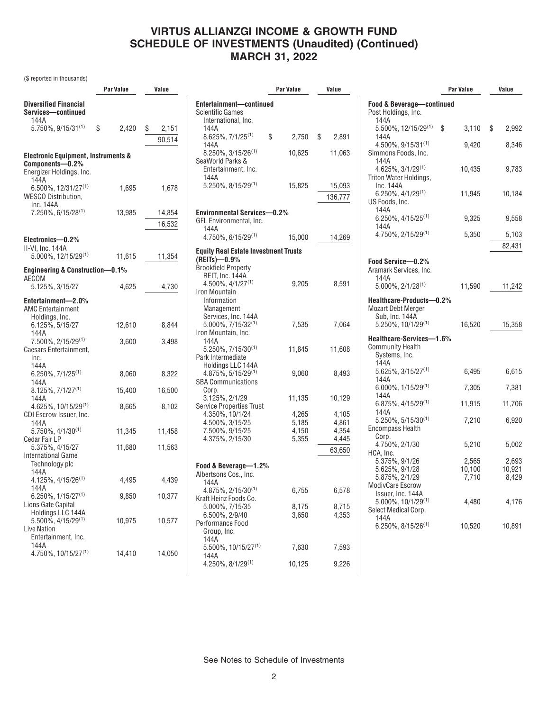(\$ reported in thousands)

|                                                                                               | <b>Par Value</b> |        | Value |                  |  |
|-----------------------------------------------------------------------------------------------|------------------|--------|-------|------------------|--|
| <b>Diversified Financial</b><br>Services-continued<br>144A                                    |                  |        |       |                  |  |
| 5.750%, 9/15/31 <sup>(1)</sup>                                                                | \$               | 2,420  | \$    | 2,151            |  |
|                                                                                               |                  |        |       | 90,514           |  |
| <b>Electronic Equipment, Instruments &amp;</b><br>Components-0.2%<br>Energizer Holdings, Inc. |                  |        |       |                  |  |
| 144A<br>$6.500\%$ , 12/31/27 <sup>(1)</sup><br><b>WESCO Distribution,</b>                     |                  | 1,695  |       | 1,678            |  |
| Inc. 144A<br>7.250%, 6/15/28(1)                                                               |                  | 13,985 |       | 14,854<br>16,532 |  |
| Electronics-0.2%<br>II-VI, Inc. 144A<br>5.000%, 12/15/29(1)                                   |                  | 11,615 |       | 11,354           |  |
|                                                                                               |                  |        |       |                  |  |
| Engineering & Construction-0.1%<br>AECOM                                                      |                  |        |       |                  |  |
| 5.125%, 3/15/27                                                                               |                  | 4,625  |       | 4,730            |  |
| Entertainment-2.0%<br><b>AMC Entertainment</b><br>Holdings, Inc.                              |                  |        |       |                  |  |
| 6.125%, 5/15/27<br>144A                                                                       |                  | 12,610 |       | 8.844            |  |
| 7.500%, 2/15/29 <sup>(1)</sup><br>Caesars Entertainment,<br>Inc.<br>144A                      |                  | 3,600  |       | 3,498            |  |
| $6.250\%, 7/1/25^{(1)}$<br>144A                                                               |                  | 8,060  |       | 8,322            |  |
| $8.125\%, 7/1/27^{(1)}$<br>144A                                                               |                  | 15,400 |       | 16,500           |  |
| 4.625%, 10/15/29 <sup>(1)</sup><br>CDI Escrow Issuer, Inc.                                    |                  | 8,665  |       | 8,102            |  |
| 144A<br>$5.750\%$ , 4/1/30 <sup>(1)</sup>                                                     |                  | 11,345 |       | 11,458           |  |
| Cedar Fair LP<br>5.375%, 4/15/27                                                              |                  | 11,680 |       | 11,563           |  |
| International Game<br>Technology plc<br>144A                                                  |                  |        |       |                  |  |
| $4.125\%, 4/15/26^{(1)}$<br>144A                                                              |                  | 4,495  |       | 4,439            |  |
| $6.250\%$ , $1/15/27^{(1)}$<br>Lions Gate Capital                                             |                  | 9,850  |       | 10,377           |  |
| Holdings LLC 144A<br>5.500%, 4/15/29(1)<br><b>Live Nation</b><br>Entertainment, Inc.<br>144A  |                  | 10,975 |       | 10,577           |  |
| 4.750%, 10/15/27(1)                                                                           |                  | 14,410 |       | 14,050           |  |

|                                                                             | <b>Par Value</b>                 | Value                                      |
|-----------------------------------------------------------------------------|----------------------------------|--------------------------------------------|
| Entertainment-continued<br>Scientific Games<br>International, Inc.<br>144A  |                                  |                                            |
| $8.625\%, 7/1/25^{(1)}$<br>144A                                             | \$<br>$2,750$ \$                 | 2,891                                      |
| $8.250\%, 3/15/26^{(1)}$<br>SeaWorld Parks &<br>Entertainment, Inc.<br>144A | 10,625                           | 11,063                                     |
| 5.250%, 8/15/29(1)                                                          | 15,825                           | 15,093<br>136,777                          |
| <b>Environmental Services-0.2%</b><br>GFL Environmental, Inc.               |                                  |                                            |
| 144A<br>$4.750\%$ , 6/15/29 <sup>(1)</sup>                                  | 15,000                           | 14,269                                     |
| <b>Equity Real Estate Investment Trusts</b>                                 |                                  |                                            |
| (REITs)-0.9%<br><b>Brookfield Property</b><br>REIT, Inc. 144A               |                                  |                                            |
| 4.500%, 4/1/27 <sup>(1)</sup><br>Iron Mountain<br>Information<br>Management | 9,205                            | 8,591                                      |
| Services, Inc. 144A<br>$5.000\%$ , $7/15/32^{(1)}$<br>Iron Mountain, Inc.   | 7,535                            | 7,064                                      |
| 144A<br>5.250%, 7/15/30 <sup>(1)</sup><br>Park Intermediate                 | 11,845                           | 11,608                                     |
| Holdings LLC 144A<br>$4.875\%, 5/15/29^{(1)}$<br><b>SBA Communications</b>  | 9,060                            | 8,493                                      |
| Corp.<br>3.125%, 2/1/29<br><b>Service Properties Trust</b>                  | 11,135                           | 10,129                                     |
| 4.350%, 10/1/24<br>4.500%, 3/15/25<br>7.500%, 9/15/25<br>4.375%, 2/15/30    | 4,265<br>5,185<br>4,150<br>5,355 | 4,105<br>4,861<br>4,354<br>4,445<br>63,650 |
| Food & Beverage—1.2%                                                        |                                  |                                            |
| Albertsons Cos., Inc.<br>144A                                               |                                  |                                            |
| $4.875\%, 2/15/30^{(1)}$<br>Kraft Heinz Foods Co.                           | 6,755                            | 6,578                                      |
| 5.000%, 7/15/35<br>6.500%, 2/9/40<br>Performance Food<br>Group, Inc.        | 8,175<br>3,650                   | 8,715<br>4,353                             |
| 144A<br>5.500%, 10/15/27(1)                                                 | 7,630                            | 7,593                                      |
| 144A<br>4.250%, 8/1/29 <sup>(1)</sup>                                       | 10,125                           | 9,226                                      |

|                                                                                     | Par Value                | Value                    |
|-------------------------------------------------------------------------------------|--------------------------|--------------------------|
| <b>Food &amp; Beverage-continued</b><br>Post Holdings, Inc.<br>144A                 |                          |                          |
| 5.500%, 12/15/29(1)                                                                 | \$<br>3.110              | \$<br>2,992              |
| 144A<br>4.500%, 9/15/31(1)<br>Simmons Foods, Inc.<br>144A                           | 9,420                    | 8,346                    |
| 4.625%, 3/1/29(1)<br>Triton Water Holdings,<br>Inc. 144A                            | 10,435                   | 9,783                    |
| $6.250\%$ , 4/1/29 <sup>(1)</sup><br>US Foods, Inc.<br>144A                         | 11,945                   | 10,184                   |
| $6.250\%$ , 4/15/25 <sup>(1)</sup><br>144A                                          | 9,325                    | 9,558                    |
| 4.750%, 2/15/29(1)                                                                  | 5,350                    | 5,103                    |
|                                                                                     |                          | 82,431                   |
| Food Service-0.2%<br>Aramark Services, Inc.<br>144A                                 |                          |                          |
| $5.000\%$ , $2/1/28^{(1)}$                                                          | 11,590                   | 11,242                   |
| Healthcare-Products-0.2%<br><b>Mozart Debt Merger</b><br>Sub, Inc. 144A             |                          |                          |
| $5.250\%$ , 10/1/29 <sup>(1)</sup>                                                  | 16,520                   | 15,358                   |
| Healthcare-Services-1.6%<br><b>Community Health</b><br>Systems, Inc.<br>144A        |                          |                          |
| 5.625%, 3/15/27(1)<br>144A                                                          | 6,495                    | 6,615                    |
| $6.000\%$ , $1/15/29^{(1)}$<br>144A                                                 | 7,305                    | 7,381                    |
| 6.875%, 4/15/29(1)<br>144A                                                          | 11,915                   | 11,706                   |
| $5.250\%$ , $5/15/30^{(1)}$<br><b>Encompass Health</b><br>Corp.                     | 7,210                    | 6,920                    |
| 4.750%, 2/1/30                                                                      | 5,210                    | 5,002                    |
| HCA, Inc.<br>5.375%, 9/1/26<br>5.625%, 9/1/28<br>5.875%, 2/1/29<br>ModivCare Escrow | 2,565<br>10,100<br>7,710 | 2,693<br>10,921<br>8,429 |
| Issuer, Inc. 144A<br>5.000%, 10/1/29(1)<br>Select Medical Corp.<br>144A             | 4,480                    | 4,176                    |
| $6.250\%$ , $8/15/26^{(1)}$                                                         | 10,520                   | 10,891                   |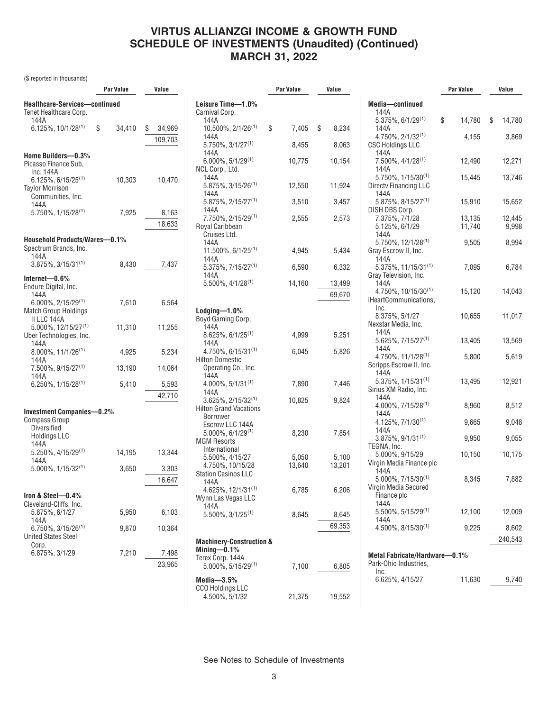(\$ reported in thousands)

|                                                                           | <b>Par Value</b> | Value           |                                                                                                           | <b>Par Value</b> | Value            |                                                                     | <b>Par Value</b> | Value            |
|---------------------------------------------------------------------------|------------------|-----------------|-----------------------------------------------------------------------------------------------------------|------------------|------------------|---------------------------------------------------------------------|------------------|------------------|
| Healthcare-Services-continued<br>Tenet Healthcare Corp.                   |                  |                 | Leisure Time-1.0%<br>Carnival Corp.                                                                       |                  |                  | Media-continued<br>144A                                             |                  |                  |
| 144A<br>$6.125\%, 10/1/28^{(1)}$                                          | \$<br>34,410     | 34,969<br>S     | 144A<br>$10.500\%$ , $2/1/26^{(1)}$                                                                       | 7,405<br>\$      | \$<br>8,234      | $5.375\%$ , 6/1/29 <sup>(1)</sup><br>144A                           | \$<br>14,780     | 14,780<br>\$     |
|                                                                           |                  | 109,703         | 144A<br>$5.750\%$ , $3/1/27^{(1)}$                                                                        | 8,455            | 8,063            | $4.750\%$ , $2/1/32^{(1)}$<br><b>CSC Holdings LLC</b>               | 4,155            | 3,869            |
| Home Builders-0.3%<br>Picasso Finance Sub.                                |                  |                 | 144A<br>$6.000\%$ , 5/1/29 <sup>(1)</sup>                                                                 | 10,775           | 10,154           | 144A<br>7.500%, 4/1/28 <sup>(1)</sup>                               | 12,490           | 12,271           |
| Inc. 144A<br>$6.125\%$ , 6/15/25 <sup>(1)</sup>                           | 10,303           | 10,470          | NCL Corp., Ltd.<br>144A                                                                                   |                  |                  | 144A<br>$5.750\%$ , $1/15/30^{(1)}$                                 | 15,445           | 13,746           |
| <b>Tavlor Morrison</b><br>Communities, Inc.                               |                  |                 | $5.875\%, 3/15/26^{(1)}$<br>144A<br>5.875%, 2/15/27 <sup>(1)</sup>                                        | 12,550<br>3,510  | 11,924<br>3,457  | <b>Directy Financing LLC</b><br>144A<br>$5.875\%$ , $8/15/27^{(1)}$ | 15,910           | 15,652           |
| 144A<br>$5.750\%$ , $1/15/28^{(1)}$                                       | 7,925            | 8,163           | 144A<br>7.750%, 2/15/29(1)                                                                                | 2,555            | 2,573            | DISH DBS Corp.<br>7.375%, 7/1/28                                    | 13,135           | 12,445           |
|                                                                           |                  | 18,633          | Royal Caribbean<br>Cruises Ltd.                                                                           |                  |                  | 5.125%, 6/1/29<br>144A                                              | 11,740           | 9,998            |
| <b>Household Products/Wares-0.1%</b><br>Spectrum Brands, Inc.             |                  |                 | 144A                                                                                                      |                  |                  | $5.750\%$ , 12/1/28 <sup>(1)</sup>                                  | 9,505            | 8,994            |
| 144A<br>$3.875\%$ , $3/15/31^{(1)}$                                       | 8,430            | 7,437           | 11.500%, 6/1/25 <sup>(1)</sup><br>144A                                                                    | 4,945            | 5,434            | Gray Escrow II, Inc.<br>144A                                        |                  |                  |
| Internet- $0.6\%$                                                         |                  |                 | $5.375\%, 7/15/27^{(1)}$<br>144A                                                                          | 6,590            | 6,332            | $5.375\%$ , 11/15/31 <sup>(1)</sup><br>Gray Television, Inc.        | 7,095            | 6,784            |
| Endure Digital, Inc.<br>144A                                              |                  |                 | $5.500\%$ , $4/1/28^{(1)}$                                                                                | 14,160           | 13,499<br>69,670 | 144A<br>4.750%, 10/15/30 <sup>(1)</sup>                             | 15,120           | 14,043           |
| $6.000\%$ , 2/15/29 <sup>(1)</sup><br><b>Match Group Holdings</b>         | 7,610            | 6,564           | $L$ odging $-1.0\%$                                                                                       |                  |                  | iHeartCommunications,<br>Inc.<br>8.375%, 5/1/27                     | 10,655           | 11,017           |
| II LLC 144A<br>5.000%, 12/15/27 <sup>(1)</sup><br>Uber Technologies, Inc. | 11,310           | 11,255          | Boyd Gaming Corp.<br>144A<br>$8.625\%, 6/1/25^{(1)}$                                                      | 4,999            | 5,251            | Nexstar Media, Inc.<br>144A                                         |                  |                  |
| 144A<br>$8.000\%$ , 11/1/26 <sup>(1)</sup>                                | 4,925            | 5,234           | 144A<br>$4.750\%$ , 6/15/31 <sup>(1)</sup>                                                                | 6,045            | 5,826            | $5.625\%$ , $7/15/27^{(1)}$<br>144A                                 | 13,405           | 13,569           |
| 144A<br>$7.500\%$ , 9/15/27 <sup>(1)</sup>                                | 13,190           | 14,064          | <b>Hilton Domestic</b><br>Operating Co., Inc.                                                             |                  |                  | $4.750\%$ , 11/1/28 <sup>(1)</sup><br>Scripps Escrow II, Inc.       | 5,800            | 5,619            |
| 144A<br>$6.250\%$ , $1/15/28^{(1)}$                                       | 5,410            | 5,593           | 144A<br>$4.000\%$ , $5/1/31^{(1)}$                                                                        | 7,890            | 7,446            | 144A<br>$5.375\%$ , 1/15/31 <sup>(1)</sup>                          | 13,495           | 12,921           |
|                                                                           |                  | 42,710          | 144A                                                                                                      |                  |                  | Sirius XM Radio, Inc.<br>144A                                       |                  |                  |
| <b>Investment Companies-0.2%</b>                                          |                  |                 | $3.625\%, 2/15/32^{(1)}$<br><b>Hilton Grand Vacations</b><br><b>Borrower</b>                              | 10,825           | 9,824            | $4.000\%$ , $7/15/28^{(1)}$<br>144A                                 | 8,960            | 8,512            |
| <b>Compass Group</b><br><b>Diversified</b><br><b>Holdings LLC</b>         |                  |                 | Escrow LLC 144A<br>$5.000\%$ , 6/1/29 <sup>(1)</sup>                                                      | 8,230            | 7,854            | $4.125\%, 7/1/30^{(1)}$<br>144A                                     | 9,665            | 9,048            |
| 144A                                                                      |                  |                 | <b>MGM Resorts</b><br>International                                                                       |                  |                  | $3.875\%$ , $9/1/31^{(1)}$<br>TEGNA. Inc.                           | 9,950            | 9,055            |
| $5.250\%, 4/15/29^{(1)}$<br>144A<br>5.000%, 1/15/32(1)                    | 14,195<br>3,650  | 13,344<br>3,303 | 5.500%, 4/15/27<br>4.750%, 10/15/28                                                                       | 5,050<br>13,640  | 5,100<br>13,201  | 5.000%, 9/15/29<br>Virgin Media Finance plc                         | 10,150           | 10,175           |
|                                                                           |                  | 16,647          | <b>Station Casinos LLC</b><br>144A                                                                        |                  |                  | 144A<br>$5.000\%$ , $7/15/30^{(1)}$<br>Virgin Media Secured         | 8,345            | 7,882            |
| Iron & Steel-0.4%<br>Cleveland-Cliffs, Inc.                               |                  |                 | 4.625%, 12/1/31(1)<br>Wynn Las Vegas LLC                                                                  | 6,785            | 6,206            | Finance plc<br>144A                                                 |                  |                  |
| 5.875%, 6/1/27<br>144A                                                    | 5,950            | 6,103           | 144A<br>$5.500\%$ , 3/1/25 <sup>(1)</sup>                                                                 | 8,645            | 8,645            | $5.500\%$ , 5/15/29 <sup>(1)</sup><br>144A                          | 12,100           | 12,009           |
| $6.750\%$ , 3/15/26 <sup>(1)</sup><br><b>United States Steel</b>          | 9,870            | 10,364          |                                                                                                           |                  | 69,353           | $4.500\%$ , $8/15/30^{(1)}$                                         | 9,225            | 8,602<br>240,543 |
| Corp.<br>6.875%, 3/1/29                                                   | 7,210            | 7,498<br>23,965 | <b>Machinery-Construction &amp;</b><br>Mining $-0.1\%$<br>Terex Corp. 144A<br>$5.000\%$ , $5/15/29^{(1)}$ | 7,100            | 6,805            | Metal Fabricate/Hardware-0.1%<br>Park-Ohio Industries,<br>Inc.      |                  |                  |
|                                                                           |                  |                 | Media- $3.5%$<br><b>CCO Holdings LLC</b>                                                                  |                  |                  | 6.625%, 4/15/27                                                     | 11,630           | 9,740            |
|                                                                           |                  |                 | 4.500%, 5/1/32                                                                                            | 21,375           | 19,552           |                                                                     |                  |                  |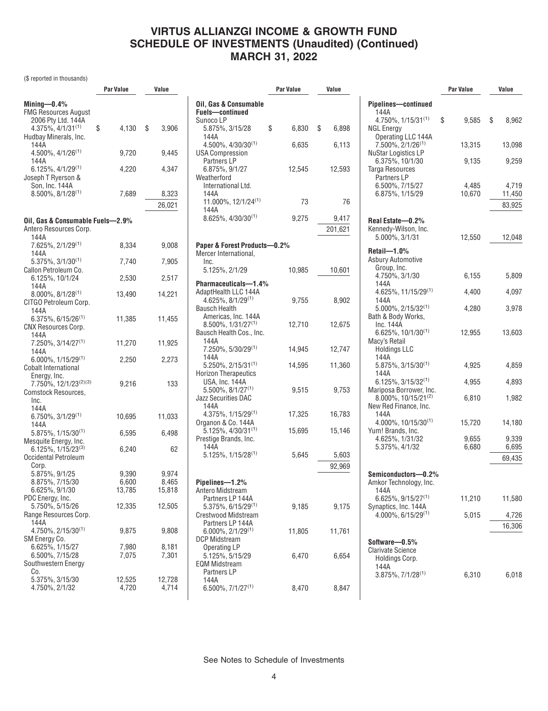(\$ reported in thousands)

|                                                     | Par Value        | Value  |
|-----------------------------------------------------|------------------|--------|
| Mining- $-0.4\%$                                    |                  |        |
| FMG Resources August                                |                  |        |
| 2006 Pty Ltd. 144A                                  |                  |        |
| $4.375\%, 4/1/31^{(1)}$                             | \$<br>$4,130$ \$ | 3,906  |
| Hudbay Minerals, Inc.                               |                  |        |
| 144A                                                |                  |        |
| 4.500%, 4/1/26 <sup>(1)</sup>                       | 9,720            | 9,445  |
| 144A                                                |                  |        |
| $6.125\%, 4/1/29^{(1)}$                             | 4,220            | 4,347  |
| Joseph T Ryerson &<br>Son, Inc. 144A                |                  |        |
| 8.500%, 8/1/28(1)                                   | 7,689            | 8,323  |
|                                                     |                  |        |
|                                                     |                  | 26,021 |
| Oil, Gas & Consumable Fuels-2.9%                    |                  |        |
| Antero Resources Corp.                              |                  |        |
| 144A                                                |                  |        |
| 7.625%, 2/1/29(1)                                   | 8,334            | 9,008  |
| 144A                                                |                  |        |
| $5.375\%, 3/1/30^{(1)}$                             | 7,740            | 7,905  |
| Callon Petroleum Co.                                |                  |        |
| 6.125%, 10/1/24                                     | 2,530            | 2,517  |
| 144A                                                |                  |        |
| $8.000\%$ , $8/1/28^{(1)}$<br>CITGO Petroleum Corp. | 13,490           | 14,221 |
| 144A                                                |                  |        |
| $6.375\%$ , 6/15/26 <sup>(1)</sup>                  | 11,385           | 11,455 |
| <b>CNX Resources Corp.</b>                          |                  |        |
| 144A                                                |                  |        |
| 7.250%, 3/14/27(1)                                  | 11,270           | 11,925 |
| 144A                                                |                  |        |
| $6.000\%$ , $1/15/29^{(1)}$                         | 2,250            | 2,273  |
| Cobalt International                                |                  |        |
| Energy, Inc.                                        |                  |        |
| 7.750%, 12/1/23(2)(3)                               | 9,216            | 133    |
| Comstock Resources,                                 |                  |        |
| Inc.<br>144A                                        |                  |        |
| $6.750\%, 3/1/29^{(1)}$                             | 10,695           | 11,033 |
| 144A                                                |                  |        |
| 5.875%, 1/15/30(1)                                  | 6,595            | 6,498  |
| Mesquite Energy, Inc.                               |                  |        |
| 6.125%, 1/15/23(3)                                  | 6,240            | 62     |
| Occidental Petroleum                                |                  |        |
| Corp.                                               |                  |        |
| 5.875%, 9/1/25                                      | 9,390            | 9,974  |
| 8.875%, 7/15/30                                     | 6,600            | 8,465  |
| 6.625%, 9/1/30                                      | 13,785           | 15,818 |
| PDC Energy, Inc.<br>5.750%, 5/15/26                 |                  |        |
| Range Resources Corp.                               | 12,335           | 12,505 |
| 144A                                                |                  |        |
| $4.750\%$ , 2/15/30 <sup>(1)</sup>                  | 9,875            | 9,808  |
| SM Energy Co.                                       |                  |        |
| 6.625%, 1/15/27                                     | 7,980            | 8.181  |
| 6.500%, 7/15/28                                     | 7,075            | 7,301  |
| Southwestern Energy                                 |                  |        |
| Co.                                                 |                  |        |
| 5.375%, 3/15/30                                     | 12,525           | 12,728 |
| 4.750%, 2/1/32                                      | 4,720            | 4,714  |
|                                                     |                  |        |

|                                                                                      | Par Value   | Value            |          |
|--------------------------------------------------------------------------------------|-------------|------------------|----------|
| Oil, Gas & Consumable<br><b>Fuels-continued</b><br>Sunoco LP                         |             |                  | Pij      |
| 5.875%, 3/15/28<br>144A                                                              | \$<br>6,830 | \$<br>6,898      | NG       |
| 4.500%, 4/30/30(1)<br><b>USA Compression</b>                                         | 6,635       | 6,113            | Nι       |
| <b>Partners LP</b><br>6.875%, 9/1/27<br>Weatherford<br>International Ltd.<br>144A    | 12,545      | 12,593           | Ta       |
| 11.000%, 12/1/24(1)<br>144A                                                          | 73          | 76               |          |
| $8.625\%, 4/30/30^{(1)}$                                                             | 9,275       | 9,417<br>201,621 | Re<br>Ke |
| Paper & Forest Products-0.2%                                                         |             |                  |          |
| Mercer International,<br>Inc.                                                        |             |                  | Re<br>As |
| 5.125%, 2/1/29                                                                       | 10,985      | 10,601           |          |
| Pharmaceuticals-1.4%                                                                 |             |                  |          |
| AdaptHealth LLC 144A<br>$4.625\%, 8/1/29^{(1)}$                                      | 9,755       | 8,902            |          |
| <b>Bausch Health</b><br>Americas, Inc. 144A                                          |             |                  | Ba       |
| 8.500%, 1/31/27 <sup>(1)</sup><br>Bausch Health Cos., Inc.                           | 12,710      | 12,675           |          |
| 144A<br>7.250%, 5/30/29 <sup>(1)</sup><br>144A                                       | 14,945      | 12,747           | Ma       |
| $5.250\%$ , 2/15/31 <sup>(1)</sup><br><b>Horizon Therapeutics</b>                    | 14,595      | 11,360           |          |
| USA, Inc. 144A                                                                       |             |                  |          |
| $5.500\%$ , $8/1/27^{(1)}$<br><b>Jazz Securities DAC</b>                             | 9,515       | 9,753            | M        |
| 144A<br>$4.375\%, 1/15/29^{(1)}$                                                     | 17,325      | 16,783           | Ne       |
| Organon & Co. 144A<br>$5.125\%, 4/30/31^{(1)}$<br>Prestige Brands, Inc.              | 15,695      | 15,146           | Yu       |
| 144A<br>5.125%, 1/15/28(1)                                                           | 5,645       | 5,603<br>92,969  |          |
| Pipelines-1.2%<br>Antero Midstream                                                   |             |                  | Se<br>An |
| Partners LP 144A<br>$5.375\%$ , 6/15/29 <sup>(1)</sup><br><b>Crestwood Midstream</b> | 9,185       | 9,175            | Sy       |
| Partners LP 144A<br>$6.000\%$ , 2/1/29 <sup>(1)</sup><br>DCP Midstream               | 11,805      | 11,761           | So       |
| <b>Operating LP</b><br>5.125%, 5/15/29<br><b>EQM Midstream</b><br>Partners LP        | 6,470       | 6,654            | Cl       |
| 144A<br>$6.500\%$ , $7/1/27^{(1)}$                                                   | 8,470       | 8,847            |          |

|                                                            | Par Value      | Value          |
|------------------------------------------------------------|----------------|----------------|
| Pipelines-continued                                        |                |                |
| 144A                                                       |                |                |
| $4.750\%$ , $1/15/31^{(1)}$                                | \$<br>9,585    | \$<br>8,962    |
| NGL Energy                                                 |                |                |
| Operating LLC 144A<br>7.500%, 2/1/26 <sup>(1)</sup>        | 13,315         | 13,098         |
| <b>NuStar Logistics LP</b>                                 |                |                |
| 6.375%, 10/1/30                                            | 9,135          | 9,259          |
| Targa Resources                                            |                |                |
| Partners LP                                                |                |                |
| 6.500%, 7/15/27                                            | 4,485          | 4,719          |
| 6.875%, 1/15/29                                            | 10,670         | 11,450         |
|                                                            |                | 83,925         |
| Real Estate-0.2%                                           |                |                |
| Kennedy-Wilson, Inc.                                       |                |                |
| 5.000%, 3/1/31                                             | 12,550         | 12,048         |
|                                                            |                |                |
| $Reta$ il—1.0%                                             |                |                |
| <b>Asbury Automotive</b><br>Group, Inc.                    |                |                |
| 4.750%, 3/1/30                                             | 6,155          | 5,809          |
| 144A                                                       |                |                |
| $4.625\%$ , 11/15/29 <sup>(1)</sup>                        | 4.400          | 4,097          |
| 144A                                                       |                |                |
| $5.000\%$ , 2/15/32 <sup>(1)</sup>                         | 4,280          | 3,978          |
| Bath & Body Works,<br>Inc. 144A                            |                |                |
| 6.625%, 10/1/30(1)                                         | 12,955         | 13,603         |
| Macy's Retail                                              |                |                |
| <b>Holdings LLC</b>                                        |                |                |
| 144A                                                       |                |                |
| $5.875\%, 3/15/30^{(1)}$                                   | 4,925          | 4,859          |
| 144A<br>$6.125\%, 3/15/32^{(1)}$                           |                |                |
| Mariposa Borrower, Inc.                                    | 4,955          | 4,893          |
| $8.000\%$ , 10/15/21 <sup>(2)</sup>                        | 6,810          | 1,982          |
| New Red Finance, Inc.                                      |                |                |
| 144A                                                       |                |                |
| $4.000\%$ , 10/15/30 <sup>(1)</sup>                        | 15,720         | 14,180         |
| Yum! Brands, Inc.                                          |                |                |
| 4.625%, 1/31/32<br>5.375%, 4/1/32                          | 9,655<br>6,680 | 9,339<br>6,695 |
|                                                            |                |                |
|                                                            |                | 69,435         |
| Semiconductors-0.2%                                        |                |                |
| Amkor Technology, Inc.                                     |                |                |
| 144A                                                       |                |                |
| $6.625\%, 9/15/27^{(1)}$                                   | 11,210         | 11,580         |
| Synaptics, Inc. 144A<br>$4.000\%$ , 6/15/29 <sup>(1)</sup> | 5,015          | 4,726          |
|                                                            |                |                |
|                                                            |                | 16,306         |
| Software-0.5%                                              |                |                |
| <b>Clarivate Science</b>                                   |                |                |
| Holdings Corp.                                             |                |                |
| 144A                                                       |                |                |
| $3.875\%, 7/1/28^{(1)}$                                    | 6,310          | 6,018          |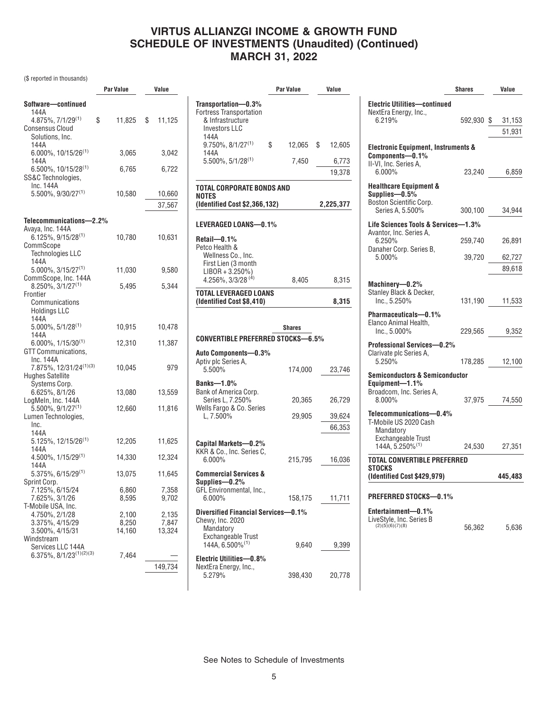(\$ reported in thousands)

|                                         | Par Value      | Value          |
|-----------------------------------------|----------------|----------------|
| Software-continued                      |                |                |
| 144A                                    |                |                |
| 4.875%, 7/1/29(1)                       | \$<br>11,825   | \$<br>11,125   |
| Consensus Cloud                         |                |                |
| Solutions, Inc.                         |                |                |
| 144A<br>6.000%, 10/15/26 <sup>(1)</sup> | 3,065          | 3,042          |
| 144A                                    |                |                |
| 6.500%, 10/15/28(1)                     | 6,765          | 6,722          |
| SS&C Technologies,                      |                |                |
| Inc. 144A                               |                |                |
| 5.500%, 9/30/27 <sup>(1)</sup>          | 10,580         | 10,660         |
|                                         |                | 37,567         |
|                                         |                |                |
| Telecommunications-2.2%                 |                |                |
| Avaya, Inc. 144A                        |                |                |
| $6.125\%$ , $9/15/28^{(1)}$             | 10,780         | 10,631         |
| CommScope<br><b>Technologies LLC</b>    |                |                |
| 144A                                    |                |                |
| $5.000\%$ , 3/15/27 <sup>(1)</sup>      | 11,030         | 9,580          |
| CommScope, Inc. 144A                    |                |                |
| $8.250\%$ , $3/1/27^{(1)}$              | 5,495          | 5,344          |
| Frontier                                |                |                |
| Communications                          |                |                |
| <b>Holdings LLC</b><br>144A             |                |                |
| $5.000\%$ , $5/1/28^{(1)}$              | 10,915         | 10,478         |
| 144A                                    |                |                |
| $6.000\%$ , $1/15/30^{(1)}$             | 12,310         | 11,387         |
| GTT Communications,                     |                |                |
| Inc. 144A                               |                |                |
| 7.875%, 12/31/24(1)(3)                  | 10,045         | 979            |
| Hughes Satellite                        |                |                |
| Systems Corp.<br>6.625%, 8/1/26         | 13,080         | 13,559         |
| LogMeIn, Inc. 144A                      |                |                |
| $5.500\%$ , $9/1/27^{(1)}$              | 12,660         | 11,816         |
| Lumen Technologies,                     |                |                |
| Inc.                                    |                |                |
| 144A                                    |                |                |
| 5.125%, 12/15/26 <sup>(1)</sup><br>144A | 12,205         | 11,625         |
| 4.500%, 1/15/29(1)                      | 14,330         | 12,324         |
| 144A                                    |                |                |
| 5.375%, 6/15/29(1)                      | 13,075         | 11,645         |
| Sprint Corp.                            |                |                |
| 7.125%, 6/15/24<br>7.625%, 3/1/26       | 6,860          | 7,358          |
|                                         | 8,595          | 9,702          |
| T-Mobile USA, Inc.                      |                |                |
| 4.750%, 2/1/28<br>3.375%, 4/15/29       | 2,100<br>8,250 | 2,135<br>7,847 |
| 3.500%, 4/15/31                         | 14,160         | 13,324         |
| Windstream                              |                |                |
| Services LLC 144A                       |                |                |
| $6.375\%, 8/1/23^{(1)(2)(3)}$           | 7,464          |                |
|                                         |                | 149,734        |
|                                         |                |                |

|                                                                                                           | Par Value    | Value            |
|-----------------------------------------------------------------------------------------------------------|--------------|------------------|
| Transportation-0.3%<br><b>Fortress Transportation</b><br>& Infrastructure<br><b>Investors LLC</b><br>144A |              |                  |
| $9.750\%$ , $8/1/27^{(1)}$<br>144A                                                                        | \$<br>12,065 | \$<br>12,605     |
| $5.500\%$ , $5/1/28^{(1)}$                                                                                | 7,450        | 6,773            |
|                                                                                                           |              | 19,378           |
| TOTAL CORPORATE BONDS AND<br><b>NOTES</b>                                                                 |              |                  |
| (Identified Cost \$2,366,132)                                                                             |              | 2,225,377        |
| LEVERAGED LOANS-0.1%                                                                                      |              |                  |
| Retail-0.1%<br>Petco Health &<br>Wellness Co., Inc.<br>First Lien (3 month<br>$LIBOR + 3.250\%)$          |              |                  |
| 4.256%, 3/3/28 <sup>(4)</sup>                                                                             | 8,405        | 8,315            |
| TOTAL LEVERAGED LOANS<br>(Identified Cost \$8,410)                                                        |              | 8,315            |
| <b>CONVERTIBLE PREFERRED STOCKS-6.5%</b><br>Auto Components-0.3%<br>Aptiv plc Series A.<br>5.500%         | 174,000      | 23,746           |
| <b>Banks-1.0%</b>                                                                                         |              |                  |
| Bank of America Corp.<br>Series L, 7.250%<br>Wells Fargo & Co. Series                                     | 20,365       | 26,729           |
| L, 7.500%                                                                                                 | 29,905       | 39,624<br>66,353 |
| Capital Markets-0.2%<br>KKR & Co., Inc. Series C.<br>6.000%                                               | 215,795      | 16,036           |
| <b>Commercial Services &amp;</b><br>Supplies-0.2%<br>GFL Environmental, Inc.,<br>$6.000\%$                | 158,175      | 11,711           |
| Diversified Financial Services-0.1%<br>Chewy, Inc. 2020<br>Mandatory<br><b>Exchangeable Trust</b>         |              |                  |
| 144A, 6.500% <sup>(1)</sup><br><b>Electric Utilities-0.8%</b>                                             | 9,640        | 9,399            |
| NextEra Energy, Inc.,<br>5.279%                                                                           | 398,430      | 20,778           |

|                                                                                            | <b>Shares</b> | Value   |
|--------------------------------------------------------------------------------------------|---------------|---------|
| <b>Electric Utilities-continued</b><br>NextEra Energy, Inc.,                               |               |         |
| 6.219%                                                                                     | 592,930 \$    | 31,153  |
|                                                                                            |               | 51,931  |
| <b>Electronic Equipment, Instruments &amp;</b><br>Components-0.1%<br>II-VI, Inc. Series A, |               |         |
| 6.000%                                                                                     | 23,240        | 6,859   |
| <b>Healthcare Equipment &amp;</b><br>Supplies-0.5%<br>Boston Scientific Corp.              |               |         |
| Series A, 5.500%                                                                           | 300,100       | 34,944  |
| Life Sciences Tools & Services-1.3%<br>Avantor, Inc. Series A.                             |               |         |
| 6.250%<br>Danaher Corp. Series B,                                                          | 259,740       | 26,891  |
| 5.000%                                                                                     | 39,720        | 62,727  |
|                                                                                            |               | 89,618  |
| Machinery-0.2%<br>Stanley Black & Decker,                                                  |               |         |
| Inc., 5.250%                                                                               | 131,190       | 11,533  |
| Pharmaceuticals-0.1%<br>Elanco Animal Health.<br>Inc., 5.000%                              | 229,565       | 9,352   |
| Professional Services-0.2%<br>Clarivate plc Series A.<br>5.250%                            | 178,285       | 12,100  |
| <b>Semiconductors &amp; Semiconductor</b>                                                  |               |         |
| Equipment-1.1%                                                                             |               |         |
| Broadcom, Inc. Series A.<br>8.000%                                                         | 37,975        | 74,550  |
| Telecommunications-0.4%<br>T-Mobile US 2020 Cash<br>Mandatory<br><b>Exchangeable Trust</b> |               |         |
| 144A, 5.250% <sup>(1)</sup>                                                                | 24,530        | 27,351  |
| <b>TOTAL CONVERTIBLE PREFERRED</b>                                                         |               |         |
| STOCKS<br>(Identified Cost \$429,979)                                                      |               | 445,483 |
| PREFERRED STOCKS-0.1%                                                                      |               |         |
|                                                                                            |               |         |
| Entertainment-0.1%<br>LiveStyle, Inc. Series B<br>(2)(5)(6)(7)(8)                          | 56,362        | 5,636   |
|                                                                                            |               |         |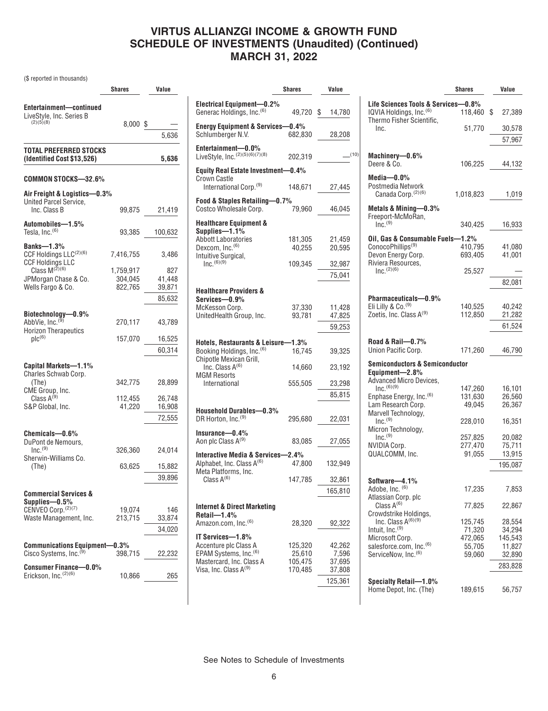(\$ reported in thousands)

|                                                               | Shares            | Value            |
|---------------------------------------------------------------|-------------------|------------------|
| Entertainment-continued                                       |                   |                  |
| LiveStyle, Inc. Series B                                      |                   |                  |
| (2)(5)(8)                                                     | $8,000$ \$        |                  |
|                                                               |                   | 5,636            |
| TOTAL PREFERRED STOCKS                                        |                   |                  |
| (Identified Cost \$13,526)                                    |                   | 5,636            |
| COMMON STOCKS-32.6%                                           |                   |                  |
| Air Freight & Logistics—0.3%<br><b>United Parcel Service,</b> |                   |                  |
| Inc. Class B                                                  | 99,875            | 21,419           |
| Automobiles-1.5%                                              |                   |                  |
| Tesla, Inc. <sup>(6)</sup>                                    | 93,385            | 100,632          |
| Banks- $-1.3\%$                                               |                   |                  |
| CCF Holdings LLC(2)(6)                                        | 7,416,755         | 3,486            |
| <b>CCF Holdings LLC</b><br>Class $M^{(\check{2})(6)}$         |                   |                  |
|                                                               | 1,759,917         | 827              |
| JPMorgan Chase & Co.                                          | 304,045           | 41,448           |
| Wells Fargo & Co.                                             | 822,765           | 39.871           |
|                                                               |                   | 85,632           |
| Biotechnology-0.9%                                            |                   |                  |
| AbbVie, Inc. <sup>(9)</sup>                                   | 270,117           | 43,789           |
| <b>Horizon Therapeutics</b>                                   |                   |                  |
| $\mathsf{plc}^{(6)}$                                          | 157,070           | 16,525           |
|                                                               |                   | 60,314           |
|                                                               |                   |                  |
| Capital Markets-1.1%                                          |                   |                  |
| Charles Schwab Corp.                                          |                   |                  |
| (The)                                                         | 342,775           | 28,899           |
| CME Group, Inc.<br>Class $A^{(9)}$                            |                   |                  |
| S&P Global, Inc.                                              | 112,455<br>41,220 | 26,748<br>16,908 |
|                                                               |                   |                  |
|                                                               |                   | 72,555           |
| Chemicals-0.6%                                                |                   |                  |
| DuPont de Nemours,                                            |                   |                  |
| $Inc.$ <sup>(9)</sup>                                         | 326,360           | 24,014           |
| Sherwin-Williams Co.                                          |                   |                  |
| (The)                                                         | 63,625            | 15,882           |
|                                                               |                   | 39,896           |
| Commercial Services &                                         |                   |                  |
| Supplies-0.5%                                                 |                   |                  |
| CENVEO Corp. (2)(7)                                           | 19,074            | 146              |
| Waste Management, Inc.                                        | 213,715           | 33,874           |
|                                                               |                   | 34,020           |
|                                                               |                   |                  |
| <b>Communications Equipment-0.3%</b>                          |                   |                  |
| Cisco Systems, Inc. <sup>(9)</sup>                            | 398,715           | 22,232           |
| <b>Consumer Finance-0.0%</b>                                  |                   |                  |
| Erickson, Inc.(2)(6)                                          | 10,866            | 265              |

|                                                              | <b>Shares</b>    | Value        |
|--------------------------------------------------------------|------------------|--------------|
| Electrical Equipment-0.2%<br>Generac Holdings, Inc. (6)      | 49,720           | \$<br>14,780 |
| <b>Energy Equipment &amp; Services-</b><br>Schlumberger N.V. | -0.4%<br>682,830 | 28,208       |
| Entertainment-0.0%<br>LiveStyle, Inc. (2)(5)(6)(7)(8)        | 202,319          | (10)         |
| Equity Real Estate Investment-0.4%                           |                  |              |
| Crown Castle<br>International Corp. <sup>(9)</sup>           | 148,671          | 27,445       |
| Food & Staples Retailing-0.7%<br>Costco Wholesale Corp.      | 79,960           | 46,045       |
| <b>Healthcare Equipment &amp;</b>                            |                  |              |
| Supplies-1.1%                                                |                  |              |
| <b>Abbott Laboratories</b>                                   | 181,305          | 21,459       |
| Dexcom, Inc. <sup>(6)</sup>                                  | 40,255           | 20,595       |
| Intuitive Surgical,                                          |                  |              |
| $Inc^{(6)(9)}$                                               | 109,345          | 32,987       |
|                                                              |                  | 75,041       |
|                                                              |                  |              |
| <b>Healthcare Providers &amp;</b><br>Services-0.9%           |                  |              |
| McKesson Corp.                                               | 37,330           | 11,428       |
| UnitedHealth Group, Inc.                                     | 93,781           | 47,825       |
|                                                              |                  | 59.253       |
|                                                              |                  |              |
| Hotels, Restaurants & Leisure-                               | $-1.3\%$         |              |
| Booking Holdings, Inc. (6)                                   | 16,745           | 39,325       |
| Chipotle Mexican Grill,                                      |                  |              |
| Inc. Class $A^{(6)}$                                         | 14,660           | 23,192       |
| <b>MGM Resorts</b>                                           |                  |              |
| International                                                | 555,505          | 23,298       |
|                                                              |                  | 85,815       |
|                                                              |                  |              |
| Household Durables-0.3%                                      |                  |              |
| DR Horton, Inc. <sup>(9)</sup>                               | 295,680          | 22,031       |
|                                                              |                  |              |
| Insurance-0.4%                                               |                  |              |
| Aon plc Class A(9)                                           | 83,085           | 27,055       |
| Interactive Media & Services-2.4%                            |                  |              |
| Alphabet, Inc. Class A <sup>(6)</sup>                        | 47,800           | 132,949      |
| Meta Platforms, Inc.                                         |                  |              |
| Class $A^{(6)}$                                              | 147,785          | 32,861       |
|                                                              |                  | 165,810      |
|                                                              |                  |              |
| <b>Internet &amp; Direct Marketing</b>                       |                  |              |
| $Retail$ –1.4%                                               |                  |              |
| Amazon.com, Inc. <sup>(6)</sup>                              | 28,320           | 92,322       |
|                                                              |                  |              |
| IT Services-1.8%                                             |                  |              |
| Accenture plc Class A                                        | 125,320          | 42,262       |
| EPAM Systems, Inc. <sup>(6)</sup>                            | 25,610           | 7,596        |
| Mastercard, Inc. Class A                                     | 105,475          | 37,695       |
| Visa, Inc. Class A <sup>(9)</sup>                            | 170,485          | 37,808       |
|                                                              |                  | 125,361      |
|                                                              |                  |              |

|                                                                                                         | <b>Shares</b> | Value        |
|---------------------------------------------------------------------------------------------------------|---------------|--------------|
|                                                                                                         |               |              |
| Life Sciences Tools & Services—0.8%<br>IQVIA Holdings, Inc. <sup>(6)</sup><br>Thermo Fisher Scientific, | 118,460       | \$<br>27,389 |
| Inc.                                                                                                    | 51,770        | 30,578       |
|                                                                                                         |               | 57,967       |
|                                                                                                         |               |              |
| Machinery-0.6%<br>Deere & Co.                                                                           | 106,225       | 44,132       |
| Media—0.0%                                                                                              |               |              |
| Postmedia Network<br>Canada Corp. (2) (6)                                                               | 1,018,823     | 1,019        |
| Metals & Mining—0.3%                                                                                    |               |              |
| Freeport-McMoRan,<br>$Inc.$ <sup>(9)</sup>                                                              | 340,425       | 16,933       |
| Oil, Gas & Consumable Fuels-1.2%                                                                        |               |              |
| ConocoPhillips <sup>(9)</sup>                                                                           | 410,795       | 41,080       |
| Devon Energy Corp.                                                                                      | 693,405       | 41,001       |
| Riviera Resources.<br>$Inc.$ (2)(6)                                                                     | 25,527        |              |
|                                                                                                         |               | 82,081       |
|                                                                                                         |               |              |
| Pharmaceuticals—0.9%                                                                                    |               |              |
| Eli Lilly & Co. <sup>(9)</sup>                                                                          | 140,525       | 40,242       |
| Zoetis, Inc. Class A <sup>(9)</sup>                                                                     | 112,850       | 21,282       |
|                                                                                                         |               | 61,524       |
| Road & Rail-0.7%                                                                                        |               |              |
| Union Pacific Corp.                                                                                     | 171,260       | 46,790       |
| <b>Semiconductors &amp; Semiconductor</b>                                                               |               |              |
| Equipment-2.8%                                                                                          |               |              |
| Advanced Micro Devices,                                                                                 |               |              |
| $Inc.$ <sup>(6)(9)</sup>                                                                                | 147,260       | 16,101       |
| Enphase Energy, Inc. <sup>(6)</sup>                                                                     | 131,630       | 26,560       |
| Lam Research Corp.                                                                                      | 49,045        | 26,367       |
| Marvell Technology,<br>$Inc.$ <sup>(9)</sup>                                                            | 228,010       | 16,351       |
| Micron Technology,                                                                                      |               |              |
| $Inc.$ <sup>(9)</sup>                                                                                   | 257,825       | 20,082       |
| <b>NVIDIA Corp.</b>                                                                                     | 277,470       | 75,711       |
| QUALCOMM, Inc.                                                                                          | 91,055        | 13,915       |
|                                                                                                         |               | 195,087      |
| Software—4.1%                                                                                           |               |              |
| Adobe, Inc. (6)                                                                                         | 17,235        | 7,853        |
| Atlassian Corp. plc                                                                                     |               |              |
| Class $A^{(6)}$                                                                                         | 77,825        | 22,867       |
| Crowdstrike Holdings,<br>Inc. Class A <sup>(6)(9)</sup>                                                 | 125,745       | 28,554       |
| Intuit, Inc. <sup>(9)</sup>                                                                             | 71,320        | 34,294       |
| Microsoft Corp.                                                                                         | 472,065       | 145,543      |
| salesforce.com, Inc. (6)                                                                                | 55,705        | 11,827       |
| ServiceNow, Inc. <sup>(6)</sup>                                                                         | 59.060        | 32,890       |
|                                                                                                         |               | 283,828      |
|                                                                                                         |               |              |
| Specialty Retail-1.0%<br>Home Depot, Inc. (The)                                                         | 189,615       | 56,757       |
|                                                                                                         |               |              |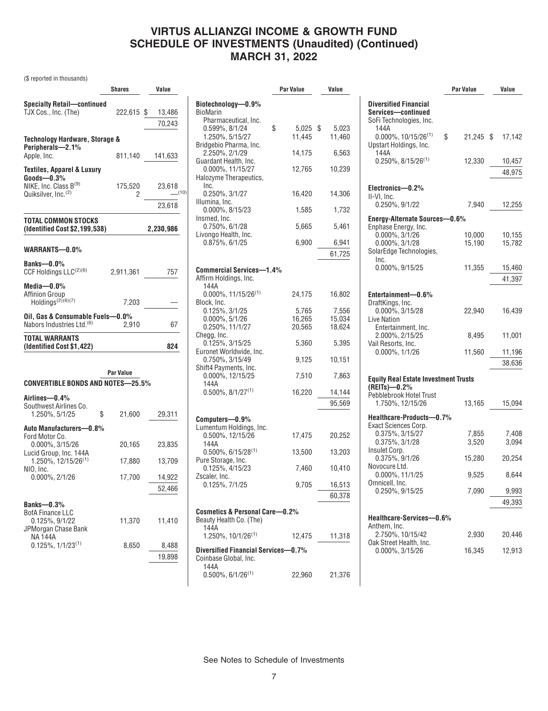0.599%, 8/1/24 \$ 5,025 \$ 5,023 1.250%, 5/15/27 11,445 11,460

2.250%, 2/1/29 14,175 6,563

**Biotechnology—0.9%**

Pharmaceutical, Inc.

Bridgebio Pharma, Inc.

BioMarin

**Par Value Value**

(\$ reported in thousands)

|                                                                      | Shares       | Value            |
|----------------------------------------------------------------------|--------------|------------------|
| <b>Specialty Retail-continued</b><br>TJX Cos., Inc. (The)            | 222,615 \$   | 13,486           |
|                                                                      |              | 70,243           |
| Technology Hardware, Storage &<br>Peripherals-2.1%                   |              |                  |
| Apple, Inc.                                                          | 811,140      | 141,633          |
| <b>Textiles, Apparel &amp; Luxury</b><br>$Goods$ -0.3%               |              |                  |
| NIKE, Inc. Class B(9)<br>Quiksilver, Inc. <sup>(2)</sup>             | 175,520<br>2 | 23,618<br>(10)   |
|                                                                      |              | 23,618           |
| <b>TOTAL COMMON STOCKS</b><br>(Identified Cost \$2,199,538)          |              | 2,230,986        |
| WARRANTS-0.0%                                                        |              |                  |
| Banks-0.0%<br>CCF Holdings LLC(2)(6)                                 | 2,911,361    | 757              |
| Media-0.0%<br><b>Affinion Group</b><br>Holdings <sup>(2)(6)(7)</sup> | 7,203        |                  |
| Oil, Gas & Consumable Fuels-0.0%                                     |              |                  |
| Nabors Industries Ltd. <sup>(6)</sup>                                | 2,910        | 67               |
| <b>TOTAL WARRANTS</b><br>(Identified Cost \$1,422)                   |              | 824              |
| CONVERTIBLE BONDS AND NOTES-25.5%                                    | Par Value    |                  |
| Airlines-0.4%<br>Southwest Airlines Co.<br>1.250%, 5/1/25<br>S       | 21,600       | 29,311           |
| Auto Manufacturers-0.8%                                              |              |                  |
| Ford Motor Co.<br>0.000%, 3/15/26<br>Lucid Group, Inc. 144A          | 20,165       | 23,835           |
| 1.250%, 12/15/26 <sup>(1)</sup>                                      | 17,880       | 13,709           |
| NIO, Inc.<br>0.000%, 2/1/26                                          | 17,700       | 14,922<br>52,466 |
|                                                                      |              |                  |

| Banks— $0.3\%$          |  |
|-------------------------|--|
| <b>BofA Finance LLC</b> |  |
| $0.125\%$ , $9/1/22$    |  |
| JPMorgan Chase Bank     |  |
| <b>NA144A</b>           |  |

0.125%,  $1/1/23^{(1)}$  8,650 8,488

11,370 11,410

19,898

|   | Guardant Health, Inc.<br>0.000%, 11/15/27<br>Halozyme Therapeutics, | 12,765 | 10,239 |
|---|---------------------------------------------------------------------|--------|--------|
| ) | Inc.<br>0.250%, 3/1/27<br>Illumina, Inc.                            | 16,420 | 14,306 |
|   | 0.000%, 8/15/23                                                     | 1,585  | 1,732  |
|   | Insmed, Inc.<br>0.750%, 6/1/28                                      | 5,665  | 5,461  |
|   | Livongo Health, Inc.<br>0.875%, 6/1/25                              | 6,900  | 6,941  |
|   |                                                                     |        | 61,725 |
|   | <b>Commercial Services-1.4%</b><br>Affirm Holdings, Inc.            |        |        |
|   | 144A<br>$0.000\%$ , 11/15/26 <sup>(1)</sup>                         | 24,175 | 16,802 |
|   | Block, Inc.<br>0.125%, 3/1/25                                       | 5,765  | 7,556  |
|   | $0.000\%$ , $5/1/26$                                                | 16,265 | 15,034 |
|   | 0.250%, 11/1/27<br>Chegg, Inc.                                      | 20,565 | 18,624 |
|   | 0.125%, 3/15/25                                                     | 5,360  | 5,395  |
|   | Euronet Worldwide, Inc.<br>0.750%, 3/15/49                          | 9,125  | 10,151 |
|   | Shift4 Payments, Inc.<br>0.000%, 12/15/25                           | 7,510  | 7,863  |
|   | 144A<br>$0.500\%$ , $8/1/27^{(1)}$                                  | 16,220 | 14,144 |
|   |                                                                     |        | 95,569 |
|   | Computers-0.9%                                                      |        |        |
|   | Lumentum Holdings, Inc.<br>0.500%, 12/15/26                         | 17,475 | 20,252 |
|   | 144A<br>$0.500\%$ , 6/15/28 <sup>(1)</sup>                          | 13,500 | 13,203 |
|   | Pure Storage, Inc.<br>0.125%, 4/15/23                               | 7,460  | 10,410 |
|   | Zscaler, Inc.<br>$0.125\%$ , $7/1/25$                               | 9,705  | 16,513 |
|   |                                                                     |        | 60,378 |
|   | Cosmetics & Personal Care-0.2%<br>Beauty Health Co. (The)<br>144A   |        |        |
|   | $1.250\%$ , $10/1/26^{(1)}$                                         | 12,475 | 11,318 |
|   | Diversified Financial Services-0.7%<br>Coinbase Global, Inc.        |        |        |
|   | 144A<br>$0.500\%$ , 6/1/26 <sup>(1)</sup>                           | 22,960 | 21,376 |
|   |                                                                     |        |        |

|                                                                                       | Par Value       | Value  |
|---------------------------------------------------------------------------------------|-----------------|--------|
| <b>Diversified Financial</b><br>Services-continued<br>SoFi Technologies, Inc.<br>144A |                 |        |
| $0.000\%$ , 10/15/26 <sup>(1)</sup><br>Upstart Holdings, Inc.<br>144A                 | \$<br>21,245 \$ | 17,142 |
| $0.250\%$ , 8/15/26 <sup>(1)</sup>                                                    | 12,330          | 10,457 |
|                                                                                       |                 | 48,975 |
| Electronics-0.2%                                                                      |                 |        |
| II-VI, Inc.<br>$0.250\%$ , $9/1/22$                                                   | 7,940           | 12,255 |
| Energy-Alternate Sources-0.6%<br>Enphase Energy, Inc.                                 |                 |        |
| 0.000%, 3/1/26                                                                        | 10,000          | 10,155 |
| $0.000\%$ , $3/1/28$                                                                  | 15,190          | 15,782 |
| SolarEdge Technologies,<br>Inc.                                                       |                 |        |
| 0.000%, 9/15/25                                                                       | 11,355          | 15,460 |
|                                                                                       |                 | 41,397 |
| Entertainment-0.6%<br>DraftKings, Inc.                                                |                 |        |
| $0.000\%$ , $3/15/28$<br><b>Live Nation</b>                                           | 22,940          | 16,439 |
| Entertainment, Inc.<br>2.000%, 2/15/25<br>Vail Resorts, Inc.                          | 8,495           | 11,001 |
| $0.000\%$ , $1/1/26$                                                                  | 11,560          | 11,196 |
|                                                                                       |                 | 38,636 |
| <b>Equity Real Estate Investment Trusts</b><br>(REITs)-0.2%                           |                 |        |
| Pebblebrook Hotel Trust<br>1.750%, 12/15/26                                           | 13,165          | 15,094 |
| Healthcare-Products-0.7%<br>Exact Sciences Corp.                                      |                 |        |
| 0.375%, 3/15/27                                                                       | 7,855           | 7,408  |
| 0.375%, 3/1/28                                                                        | 3,520           | 3,094  |
| Insulet Corp.<br>0.375%, 9/1/26                                                       | 15,280          | 20,254 |
| Novocure Ltd.<br>0.000%, 11/1/25                                                      | 9,525           | 8,644  |
| Omnicell, Inc.<br>0.250%, 9/15/25                                                     | 7,090           | 9,993  |
|                                                                                       |                 | 49,393 |
| Healthcare-Services-0.6%                                                              |                 |        |
| Anthem, Inc.<br>2.750%, 10/15/42<br>Oak Street Health, Inc.                           | 2,930           | 20,446 |
| 0.000%, 3/15/26                                                                       | 16,345          | 12,913 |
|                                                                                       |                 |        |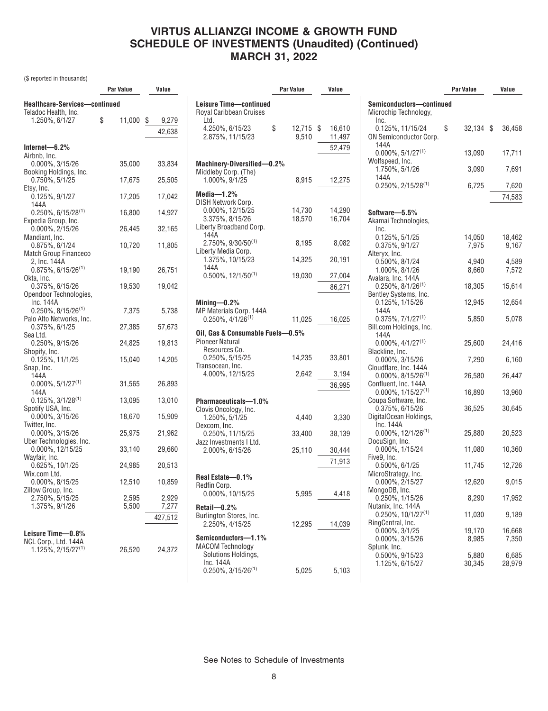(\$ reported in thousands)

|                                                  | Par Value    | Value       |
|--------------------------------------------------|--------------|-------------|
| Healthcare-Services-continued                    |              |             |
| Teladoc Health, Inc.<br>1.250%, 6/1/27           | \$<br>11,000 | \$<br>9,279 |
|                                                  |              |             |
|                                                  |              | 42,638      |
| Internet—6.2%                                    |              |             |
| Airbnb, Inc.                                     |              |             |
| 0.000%, 3/15/26<br>Booking Holdings, Inc.        | 35,000       | 33,834      |
| 0.750%, 5/1/25                                   | 17,675       | 25,505      |
| Etsy, Inc.                                       |              |             |
| 0.125%, 9/1/27                                   | 17,205       | 17,042      |
| 144A<br>$0.250\%$ , 6/15/28 <sup>(1)</sup>       | 16,800       | 14,927      |
| Expedia Group, Inc.                              |              |             |
| 0.000%, 2/15/26                                  | 26,445       | 32,165      |
| Mandiant, Inc.                                   |              |             |
| 0.875%, 6/1/24<br>Match Group Financeco          | 10,720       | 11,805      |
| 2, Inc. 144A                                     |              |             |
| $0.875\%$ , 6/15/26 <sup>(1)</sup>               | 19,190       | 26,751      |
| Okta, Inc.<br>0.375%, 6/15/26                    | 19,530       | 19,042      |
| Opendoor Technologies,                           |              |             |
| Inc. 144A                                        |              |             |
| $0.250\%$ , 8/15/26 <sup>(1)</sup>               | 7,375        | 5,738       |
| Palo Alto Networks, Inc.<br>$0.375\%$ , 6/1/25   | 27,385       | 57,673      |
| Sea Ltd.                                         |              |             |
| 0.250%, 9/15/26                                  | 24,825       | 19,813      |
| Shopify, Inc.                                    |              |             |
| 0.125%, 11/1/25<br>Snap, Inc.                    | 15,040       | 14,205      |
| 144A                                             |              |             |
| $0.000\%$ , 5/1/27 <sup>(1)</sup>                | 31,565       | 26,893      |
| 144A                                             |              |             |
| $0.125\%, 3/1/28^{(1)}$<br>Spotify USA, Inc.     | 13,095       | 13,010      |
| 0.000%, 3/15/26                                  | 18,670       | 15,909      |
| Twitter, Inc.                                    |              |             |
| 0.000%, 3/15/26                                  | 25,975       | 21,962      |
| Uber Technologies, Inc.                          | 33,140       |             |
| 0.000%, 12/15/25<br>Wayfair, Inc.                |              | 29,660      |
| 0.625%, 10/1/25                                  | 24,985       | 20,513      |
| Wix.com Ltd.                                     |              |             |
| 0.000%, 8/15/25<br>Zillow Group, Inc.            | 12,510       | 10,859      |
| 2.750%, 5/15/25                                  | 2.595        | 2,929       |
| 1.375%, 9/1/26                                   | 5,500        | 7,277       |
|                                                  |              | 427,512     |
|                                                  |              |             |
| Leisure Time—0.8%                                |              |             |
| NCL Corp., Ltd. 144A<br>$1.125\%, 2/15/27^{(1)}$ | 26,520       | 24,372      |
|                                                  |              |             |

| Leisure Time-continued<br>Royal Caribbean Cruises<br>Ltd.<br>4.250%, 6/15/23<br>\$<br>12,715<br>\$<br>2.875%, 11/15/23<br>9,510<br>52,479 | 16,610<br>11,497 |
|-------------------------------------------------------------------------------------------------------------------------------------------|------------------|
|                                                                                                                                           |                  |
|                                                                                                                                           |                  |
|                                                                                                                                           |                  |
|                                                                                                                                           |                  |
|                                                                                                                                           |                  |
|                                                                                                                                           |                  |
| Machinery-Diversified-0.2%                                                                                                                |                  |
| Middleby Corp. (The)                                                                                                                      |                  |
| 1.000%, 9/1/25<br>8,915                                                                                                                   | 12,275           |
| Media- $1.2%$                                                                                                                             |                  |
| DISH Network Corp.                                                                                                                        |                  |
| 0.000%, 12/15/25<br>14,730                                                                                                                | 14,290           |
| 3.375%, 8/15/26<br>18,570                                                                                                                 | 16.704           |
| Liberty Broadband Corp.                                                                                                                   |                  |
| 144A                                                                                                                                      |                  |
| 2.750%, 9/30/50 <sup>(1)</sup><br>8,195<br>Liberty Media Corp.                                                                            | 8,082            |
| 1.375%, 10/15/23<br>14,325<br>20,191                                                                                                      |                  |
| 144A                                                                                                                                      |                  |
| $0.500\%$ , 12/1/50 <sup>(1)</sup><br>19,030                                                                                              | 27,004           |
|                                                                                                                                           | 86,271           |
| Mining-0.2%                                                                                                                               |                  |
| MP Materials Corp. 144A                                                                                                                   |                  |
| $0.250\%$ , $4/1/26^{(1)}$<br>11,025                                                                                                      | 16,025           |
|                                                                                                                                           |                  |
| Oil, Gas & Consumable Fuels-0.5%<br>Pioneer Natural                                                                                       |                  |
| Resources Co.                                                                                                                             |                  |
| 0.250%, 5/15/25<br>14,235<br>33,801                                                                                                       |                  |
| Transocean, Inc.                                                                                                                          |                  |
| 4.000%, 12/15/25<br>2,642                                                                                                                 | 3,194            |
|                                                                                                                                           | 36,995           |
|                                                                                                                                           |                  |
| Pharmaceuticals-1.0%<br>Clovis Oncology, Inc.                                                                                             |                  |
| 1.250%, 5/1/25<br>4,440                                                                                                                   | 3,330            |
| Dexcom, Inc.                                                                                                                              |                  |
| 0.250%, 11/15/25<br>33,400                                                                                                                | 38,139           |
| Jazz Investments I Ltd.                                                                                                                   |                  |
| 2.000%, 6/15/26<br>25,110                                                                                                                 | 30,444           |
|                                                                                                                                           | 71,913           |
| Real Estate-0.1%                                                                                                                          |                  |
| Redfin Corp.                                                                                                                              |                  |
| 0.000%, 10/15/25<br>5,995                                                                                                                 | 4,418            |
|                                                                                                                                           |                  |
| Retail-0.2%<br>Burlington Stores, Inc.                                                                                                    |                  |
| 2.250%, 4/15/25<br>12,295<br>14,039                                                                                                       |                  |
|                                                                                                                                           |                  |
| Semiconductors-1.1%                                                                                                                       |                  |
| <b>MACOM Technology</b><br>Solutions Holdings.                                                                                            |                  |
| Inc. 144A                                                                                                                                 |                  |
| $0.250\%$ , 3/15/26 <sup>(1)</sup><br>5,025                                                                                               | 5,103            |

|                                                                   | Par Value       | Value           |
|-------------------------------------------------------------------|-----------------|-----------------|
| Semiconductors—continued<br>Microchip Technology,                 |                 |                 |
| Inc.<br>0.125%, 11/15/24<br>ON Semiconductor Corp.                | \$<br>32,134 \$ | 36,458          |
| 144A<br>$0.000\%$ , $5/1/27^{(1)}$                                | 13,090          | 17,711          |
| Wolfspeed, Inc.<br>1.750%, 5/1/26<br>144A                         | 3,090           | 7,691           |
| $0.250\%$ , 2/15/28 <sup>(1)</sup>                                | 6,725           | 7,620<br>74,583 |
|                                                                   |                 |                 |
| Software-5.5%<br>Akamai Technologies,<br>Inc.                     |                 |                 |
| 0.125%, 5/1/25<br>0.375%, 9/1/27<br>Alteryx, Inc.                 | 14,050<br>7,975 | 18,462<br>9,167 |
| $0.500\%$ , $8/1/24$<br>1.000%, 8/1/26                            | 4,940<br>8.660  | 4,589<br>7.572  |
| Avalara, Inc. 144A<br>$0.250\%$ , $8/1/26^{(1)}$                  | 18,305          | 15,614          |
| Bentley Systems, Inc.<br>0.125%, 1/15/26                          | 12,945          | 12,654          |
| 144A<br>$0.375\%, 7/1/27^{(1)}$<br>Bill.com Holdings, Inc.        | 5,850           | 5,078           |
| 144A<br>$0.000\%$ , 4/1/27 <sup>(1)</sup>                         | 25,600          | 24,416          |
| Blackline, Inc.<br>0.000%, 3/15/26                                | 7,290           | 6,160           |
| Cloudflare, Inc. 144A<br>$0.000\%$ , 8/15/26 <sup>(1)</sup>       | 26,580          | 26,447          |
| Confluent, Inc. 144A<br>$0.000\%$ , 1/15/27 <sup>(1)</sup>        | 16,890          | 13,960          |
| Coupa Software, Inc.<br>0.375%, 6/15/26<br>DigitalOcean Holdings, | 36,525          | 30,645          |
| Inc. 144A<br>$0.000\%$ , 12/1/26 <sup>(1)</sup>                   | 25,880          | 20,523          |
| DocuSign, Inc.<br>0.000%, 1/15/24                                 | 11,080          | 10,360          |
| Five9, Inc.<br>$0.500\%$ , $6/1/25$                               | 11,745          | 12,726          |
| MicroStrategy, Inc.<br>0.000%, 2/15/27                            | 12,620          | 9,015           |
| MongoDB, Inc.<br>0.250%, 1/15/26                                  | 8,290           | 17,952          |
| Nutanix, Inc. 144A<br>$0.250\%$ , 10/1/27 <sup>(1)</sup>          | 11,030          | 9,189           |
| RingCentral, Inc.<br>$0.000\%$ , $3/1/25$                         | 19,170          | 16,668          |
| 0.000%, 3/15/26<br>Splunk, Inc.                                   | 8,985           | 7,350           |
| 0.500%, 9/15/23<br>1.125%, 6/15/27                                | 5,880<br>30,345 | 6,685<br>28,979 |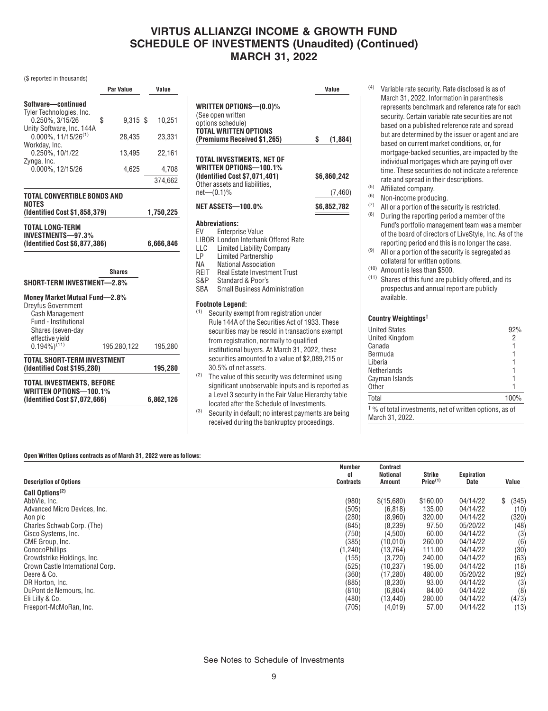#### (\$ reported in thousands)

|                                                                              | Par Value        | Value     |
|------------------------------------------------------------------------------|------------------|-----------|
| Software-continued<br>Tyler Technologies, Inc.                               |                  |           |
| $0.250\%$ , $3/15/26$<br>Unity Software, Inc. 144A                           | \$<br>$9,315$ \$ | 10,251    |
| $0.000\%$ , 11/15/26 <sup>(1)</sup><br>Workday, Inc.                         | 28.435           | 23,331    |
| 0.250%, 10/1/22<br>Zynga, Inc.                                               | 13,495           | 22.161    |
| 0.000%, 12/15/26                                                             | 4.625            | 4,708     |
|                                                                              |                  | 374,662   |
| TOTAL CONVERTIBLE BONDS AND<br>NOTES<br>(Identified Cost \$1,858,379)        |                  | 1,750,225 |
| TOTAL LONG-TERM<br><b>INVESTMENTS-97.3%</b><br>(Identified Cost \$6,877,386) |                  | 6,666,846 |
|                                                                              | <b>Shares</b>    |           |
|                                                                              |                  |           |
| SHORT-TERM INVESTMENT-2.8%                                                   |                  |           |

| <b>TOTAL INVESTMENTS, BEFORE</b><br><b>WRITTEN OPTIONS-100.1%</b>  | (Identified Cost \$7,072,666) | 6,862,126 |
|--------------------------------------------------------------------|-------------------------------|-----------|
| <b>TOTAL SHORT-TERM INVESTMENT</b><br>(Identified Cost \$195,280)  | 195.280                       |           |
| Shares (seven-day<br>effective vield<br>$0.194\%)$ <sup>(11)</sup> | 195,280,122                   | 195,280   |

|                                                                                                                                 | Value         |
|---------------------------------------------------------------------------------------------------------------------------------|---------------|
| WRITTEN OPTIONS—(0.0)%<br>(See open written<br>options schedule)<br>TOTAL WRITTEN OPTIONS<br>(Premiums Received \$1,265)        | \$<br>(1,884) |
| TOTAL INVESTMENTS. NET OF<br>WRITTEN OPTIONS—100.1%<br>(Identified Cost \$7,071,401)                                            | \$6.860.242   |
| Other assets and liabilities,<br>net—(0.1)%                                                                                     | (7, 460)      |
| NET ASSETS—100.0%                                                                                                               | \$6,852,782   |
| Abbreviations:<br>EV<br><b>Enterprise Value</b><br>LIBOR London Interbank Offered Rate<br>$\Box \cap$ Limited Liebility Company |               |

- LLC Limited Liability Company<br>LP Limited Partnership
- LP Limited Partnership<br>NA National Association
- NA National Association<br>REIT Real Estate Investme Real Estate Investment Trust
- 
- S&P Standard & Poor's<br>SBA Small Business Adj **Small Business Administration**

#### **Footnote Legend:**

- (1) Security exempt from registration under Rule 144A of the Securities Act of 1933. These securities may be resold in transactions exempt from registration, normally to qualified institutional buyers. At March 31, 2022, these securities amounted to a value of \$2,089,215 or 30.5% of net assets.
- (2) The value of this security was determined using significant unobservable inputs and is reported as a Level 3 security in the Fair Value Hierarchy table located after the Schedule of Investments.
- (3) Security in default; no interest payments are being received during the bankruptcy proceedings.
- (4) Variable rate security. Rate disclosed is as of March 31, 2022. Information in parenthesis represents benchmark and reference rate for each security. Certain variable rate securities are not based on a published reference rate and spread but are determined by the issuer or agent and are based on current market conditions, or, for mortgage-backed securities, are impacted by the individual mortgages which are paying off over time. These securities do not indicate a reference rate and spread in their descriptions.
- (5) Affiliated company.
- (6) Non-income producing.
- (7) All or a portion of the security is restricted.
- (8) During the reporting period a member of the Fund's portfolio management team was a member of the board of directors of LiveStyle, Inc. As of the reporting period end this is no longer the case.
- $(9)$  All or a portion of the security is segregated as collateral for written options.
- (10) Amount is less than \$500.
- (11) Shares of this fund are publicly offered, and its prospectus and annual report are publicly available.

### **Country Weightings†**

| <b>United States</b>                                               | 92%  |
|--------------------------------------------------------------------|------|
| <b>United Kingdom</b>                                              |      |
| Canada                                                             |      |
| Bermuda                                                            |      |
| Liberia                                                            |      |
| Netherlands                                                        |      |
| Cayman Islands                                                     |      |
| <b>Other</b>                                                       |      |
| Total                                                              | 100% |
| <sup>†</sup> % of total investments, net of written options, as of |      |

March 31, 2022.

#### **Open Written Options contracts as of March 31, 2022 were as follows:**

| <b>Description of Options</b>    | <b>Number</b><br>0f<br><b>Contracts</b> | <b>Contract</b><br>Notional<br>Amount | <b>Strike</b><br>Price <sup>(1)</sup> | Expiration<br>Date | Value       |
|----------------------------------|-----------------------------------------|---------------------------------------|---------------------------------------|--------------------|-------------|
| Call Options <sup>(2)</sup>      |                                         |                                       |                                       |                    |             |
| AbbVie. Inc.                     | (980)                                   | \$(15,680)                            | \$160.00                              | 04/14/22           | \$<br>(345) |
| Advanced Micro Devices, Inc.     | (505)                                   | (6, 818)                              | 135.00                                | 04/14/22           | (10)        |
| Aon plc                          | (280)                                   | (8,960)                               | 320.00                                | 04/14/22           | (320)       |
| Charles Schwab Corp. (The)       | (845)                                   | (8, 239)                              | 97.50                                 | 05/20/22           | (48)        |
| Cisco Systems, Inc.              | (750)                                   | (4,500)                               | 60.00                                 | 04/14/22           | (3)         |
| CME Group, Inc.                  | (385)                                   | (10,010)                              | 260.00                                | 04/14/22           | (6)         |
| <b>ConocoPhillips</b>            | (1,240)                                 | (13, 764)                             | 111.00                                | 04/14/22           | (30)        |
| Crowdstrike Holdings, Inc.       | (155)                                   | (3,720)                               | 240.00                                | 04/14/22           | (63)        |
| Crown Castle International Corp. | (525)                                   | (10, 237)                             | 195.00                                | 04/14/22           | (18)        |
| Deere & Co.                      | (360)                                   | (17, 280)                             | 480.00                                | 05/20/22           | (92)        |
| DR Horton, Inc.                  | (885)                                   | (8, 230)                              | 93.00                                 | 04/14/22           | (3)         |
| DuPont de Nemours, Inc.          | (810)                                   | (6,804)                               | 84.00                                 | 04/14/22           | (8)         |
| Eli Lilly & Co.                  | (480)                                   | (13,440)                              | 280.00                                | 04/14/22           | (473)       |
| Freeport-McMoRan, Inc.           | (705)                                   | (4,019)                               | 57.00                                 | 04/14/22           | (13)        |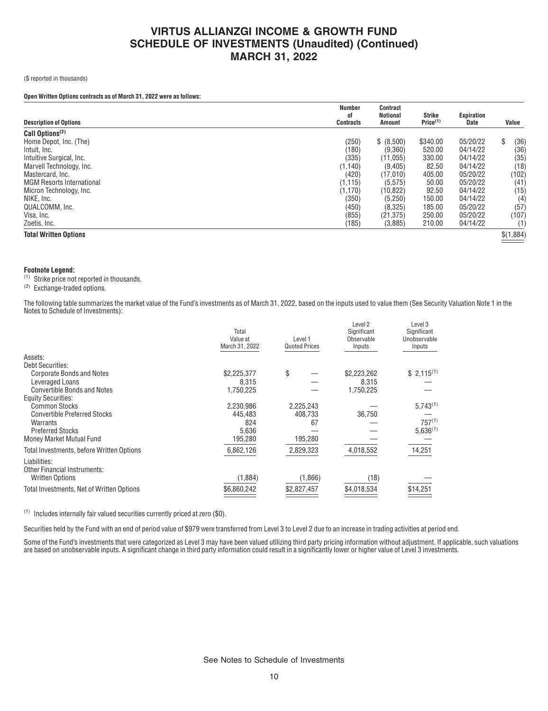(\$ reported in thousands)

### **Open Written Options contracts as of March 31, 2022 were as follows:**

| <b>Description of Options</b>    | <b>Number</b><br>0f<br><b>Contracts</b> | <b>Contract</b><br><b>Notional</b><br>Amount | <b>Strike</b><br>Price <sup>(1)</sup> | Expiration<br>Date | Value      |
|----------------------------------|-----------------------------------------|----------------------------------------------|---------------------------------------|--------------------|------------|
| Call Options <sup>(2)</sup>      |                                         |                                              |                                       |                    |            |
| Home Depot, Inc. (The)           | (250)                                   | \$ (8,500)                                   | \$340.00                              | 05/20/22           | \$<br>(36) |
| Intuit. Inc.                     | (180)                                   | (9,360)                                      | 520.00                                | 04/14/22           | (36)       |
| Intuitive Surgical, Inc.         | (335)                                   | (11, 055)                                    | 330.00                                | 04/14/22           | (35)       |
| Marvell Technology, Inc.         | (1, 140)                                | (9,405)                                      | 82.50                                 | 04/14/22           | (18)       |
| Mastercard, Inc.                 | (420)                                   | (17,010)                                     | 405.00                                | 05/20/22           | (102)      |
| <b>MGM Resorts International</b> | (1, 115)                                | (5, 575)                                     | 50.00                                 | 05/20/22           | (41)       |
| Micron Technology, Inc.          | (1,170)                                 | (10, 822)                                    | 92.50                                 | 04/14/22           | (15)       |
| NIKE, Inc.                       | (350)                                   | (5, 250)                                     | 150.00                                | 04/14/22           | (4)        |
| QUALCOMM. Inc.                   | (450)                                   | (8,325)                                      | 185.00                                | 05/20/22           | (57)       |
| Visa, Inc.                       | (855)                                   | (21, 375)                                    | 250.00                                | 05/20/22           | (107)      |
| Zoetis, Inc.                     | (185)                                   | (3,885)                                      | 210.00                                | 04/14/22           | (1)        |
| <b>Total Written Options</b>     |                                         |                                              |                                       |                    | \$(1,884)  |

#### **Footnote Legend:**

(1) Strike price not reported in thousands.

(2) Exchange-traded options.

The following table summarizes the market value of the Fund's investments as of March 31, 2022, based on the inputs used to value them (See Security Valuation Note 1 in the Notes to Schedule of Investments):

|                                              | Total<br>Value at<br>March 31, 2022 | Level 1<br><b>Quoted Prices</b> | Level <sub>2</sub><br>Significant<br>Observable<br>Inputs | Level 3<br>Significant<br>Unobservable<br>Inputs |
|----------------------------------------------|-------------------------------------|---------------------------------|-----------------------------------------------------------|--------------------------------------------------|
| Assets:                                      |                                     |                                 |                                                           |                                                  |
| <b>Debt Securities:</b>                      |                                     |                                 |                                                           |                                                  |
| <b>Corporate Bonds and Notes</b>             | \$2,225,377                         | \$                              | \$2,223,262                                               | $$2,115^{(1)}$                                   |
| Leveraged Loans                              | 8.315                               |                                 | 8.315                                                     |                                                  |
| <b>Convertible Bonds and Notes</b>           | 1,750,225                           |                                 | 1,750,225                                                 |                                                  |
| <b>Equity Securities:</b>                    |                                     |                                 |                                                           |                                                  |
| <b>Common Stocks</b>                         | 2,230,986                           | 2,225,243                       |                                                           | $5,743^{(1)}$                                    |
| <b>Convertible Preferred Stocks</b>          | 445,483                             | 408,733                         | 36,750                                                    |                                                  |
| Warrants                                     | 824                                 | 67                              |                                                           | $757^{(1)}$                                      |
| <b>Preferred Stocks</b>                      | 5,636                               |                                 |                                                           | $5,636^{(1)}$                                    |
| Money Market Mutual Fund                     | 195,280                             | 195,280                         |                                                           |                                                  |
| Total Investments, before Written Options    | 6,862,126                           | 2,829,323                       | 4,018,552                                                 | 14,251                                           |
| Liabilities:<br>Other Financial Instruments: |                                     |                                 |                                                           |                                                  |
| <b>Written Options</b>                       | (1,884)                             | (1,866)                         | (18)                                                      |                                                  |
| Total Investments, Net of Written Options    | \$6,860,242                         | \$2,827,457                     | \$4,018,534                                               | \$14,251                                         |

(1) Includes internally fair valued securities currently priced at zero (\$0).

Securities held by the Fund with an end of period value of \$979 were transferred from Level 3 to Level 2 due to an increase in trading activities at period end.

Some of the Fund's investments that were categorized as Level 3 may have been valued utilizing third party pricing information without adjustment. If applicable, such valuations are based on unobservable inputs. A significant change in third party information could result in a significantly lower or higher value of Level 3 investments.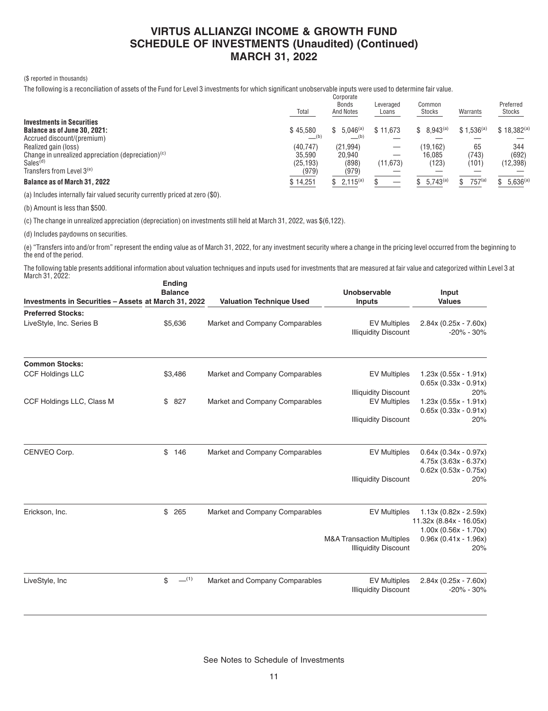#### (\$ reported in thousands)

The following is a reconciliation of assets of the Fund for Level 3 investments for which significant unobservable inputs were used to determine fair value.  $C<sub>OT</sub>$ 

|                                                                                                                  | Total                        | <b>UUI DUI ALG</b><br>Bonds<br><b>And Notes</b> | Leveraged<br>Loans | Common<br><b>Stocks</b> | Warrants       | Preferred<br>Stocks |
|------------------------------------------------------------------------------------------------------------------|------------------------------|-------------------------------------------------|--------------------|-------------------------|----------------|---------------------|
| <b>Investments in Securities</b><br>Balance as of June 30, 2021:                                                 | \$45.580                     | $$5.046^{(a)}$<br>(b)                           | \$11.673           | $8,943^{(a)}$<br>S.     | $$1.536^{(a)}$ | $$18,382^{(a)}$     |
| Accrued discount/(premium)<br>Realized gain (loss)                                                               | (b)<br>(40, 747)             | (21, 994)                                       |                    | (19.162)                | 65             | 344                 |
| Change in unrealized appreciation (depreciation) $(c)$<br>Sales <sup>(d)</sup><br>Transfers from Level $3^{(e)}$ | 35.590<br>(25, 193)<br>(979) | 20.940<br>(898)<br>(979)                        | (11, 673)          | 16.085<br>(123)         | (743)<br>(101) | (692)<br>(12, 398)  |
| <b>Balance as of March 31, 2022</b>                                                                              | \$14,251                     | $$2,115^{(a)}$                                  |                    | $5,743^{(a)}$           | $757^{a}$      | $5.636^{(a)}$       |

(a) Includes internally fair valued security currently priced at zero (\$0).

(b) Amount is less than \$500.

(c) The change in unrealized appreciation (depreciation) on investments still held at March 31, 2022, was \$(6,122).

(d) Includes paydowns on securities.

(e) "Transfers into and/or from" represent the ending value as of March 31, 2022, for any investment security where a change in the pricing level occurred from the beginning to the end of the period.

The following table presents additional information about valuation techniques and inputs used for investments that are measured at fair value and categorized within Level 3 at March 31, 2022: **Ending**

| Investments in Securities - Assets at March 31, 2022 | <u>Liidiig</u><br><b>Balance</b> | <b>Valuation Technique Used</b> | <b>Unobservable</b><br><b>Inputs</b>               | Input<br><b>Values</b>                    |
|------------------------------------------------------|----------------------------------|---------------------------------|----------------------------------------------------|-------------------------------------------|
| <b>Preferred Stocks:</b>                             |                                  |                                 |                                                    |                                           |
| LiveStyle, Inc. Series B                             | \$5,636                          | Market and Company Comparables  | <b>EV Multiples</b><br><b>Illiquidity Discount</b> | $2.84x (0.25x - 7.60x)$<br>$-20\% - 30\%$ |
| <b>Common Stocks:</b>                                |                                  |                                 |                                                    |                                           |
| <b>CCF Holdings LLC</b>                              | \$3,486                          | Market and Company Comparables  | <b>EV Multiples</b>                                | $1.23x(0.55x - 1.91x)$                    |
|                                                      |                                  |                                 |                                                    | $0.65x(0.33x - 0.91x)$                    |
|                                                      |                                  |                                 | <b>Illiquidity Discount</b>                        | 20%                                       |
| CCF Holdings LLC, Class M                            | \$827                            | Market and Company Comparables  | <b>EV Multiples</b>                                | $1.23x(0.55x - 1.91x)$                    |
|                                                      |                                  | $0.65x(0.33x - 0.91x)$          |                                                    |                                           |
|                                                      |                                  |                                 | <b>Illiquidity Discount</b>                        | 20%                                       |
| CENVEO Corp.                                         | \$<br>146                        | Market and Company Comparables  | <b>EV Multiples</b>                                | $0.64x(0.34x - 0.97x)$                    |
|                                                      |                                  |                                 |                                                    | $4.75x(3.63x - 6.37x)$                    |
|                                                      |                                  |                                 |                                                    | $0.62x(0.53x - 0.75x)$                    |
|                                                      |                                  |                                 | <b>Illiquidity Discount</b>                        | 20%                                       |
| Erickson, Inc.                                       | \$<br>265                        | Market and Company Comparables  | <b>EV Multiples</b>                                | $1.13x(0.82x - 2.59x)$                    |
|                                                      |                                  |                                 |                                                    | 11.32x (8.84x - 16.05x)                   |
|                                                      |                                  |                                 |                                                    | $1.00x(0.56x - 1.70x)$                    |
|                                                      |                                  |                                 | <b>M&amp;A Transaction Multiples</b>               | $0.96x(0.41x - 1.96x)$                    |
|                                                      |                                  |                                 | <b>Illiquidity Discount</b>                        | 20%                                       |
| LiveStyle, Inc                                       | $-^{(1)}$<br>\$                  | Market and Company Comparables  | <b>EV Multiples</b>                                | $2.84x (0.25x - 7.60x)$                   |
|                                                      |                                  |                                 | <b>Illiquidity Discount</b>                        | $-20\% - 30\%$                            |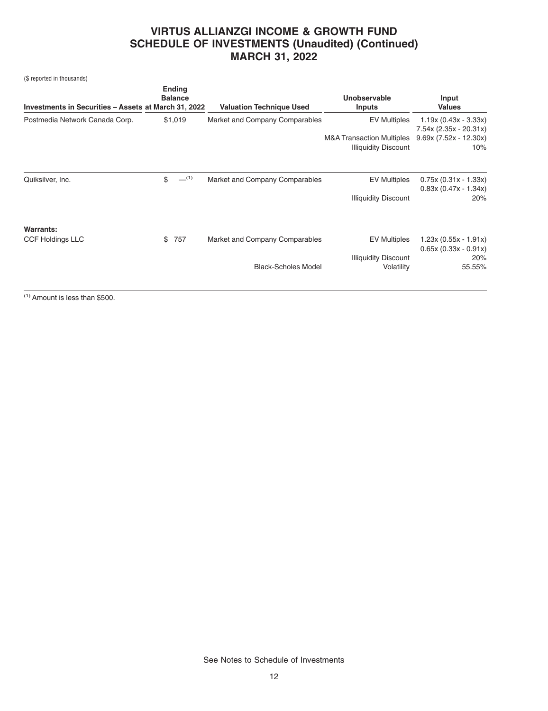(\$ reported in thousands)

| Investments in Securities - Assets at March 31, 2022 | <b>Ending</b><br><b>Balance</b> | <b>Valuation Technique Used</b> | Unobservable<br><b>Inputs</b>        | Input<br><b>Values</b>                           |
|------------------------------------------------------|---------------------------------|---------------------------------|--------------------------------------|--------------------------------------------------|
| Postmedia Network Canada Corp.                       | \$1,019                         | Market and Company Comparables  | <b>EV Multiples</b>                  | $1.19x(0.43x - 3.33x)$<br>7.54x (2.35x - 20.31x) |
|                                                      |                                 |                                 | <b>M&amp;A Transaction Multiples</b> | $9.69x(7.52x - 12.30x)$                          |
|                                                      |                                 |                                 | <b>Illiquidity Discount</b>          | 10%                                              |
| Quiksilver, Inc.                                     | $-$ (1)<br>\$                   | Market and Company Comparables  | <b>EV Multiples</b>                  | $0.75x(0.31x - 1.33x)$<br>$0.83x(0.47x - 1.34x)$ |
|                                                      |                                 |                                 | <b>Illiquidity Discount</b>          | 20%                                              |
| Warrants:                                            |                                 |                                 |                                      |                                                  |
| <b>CCF Holdings LLC</b>                              | 757<br>\$                       | Market and Company Comparables  | <b>EV Multiples</b>                  | $1.23x(0.55x - 1.91x)$<br>$0.65x(0.33x - 0.91x)$ |
|                                                      |                                 |                                 | <b>Illiquidity Discount</b>          | 20%                                              |
|                                                      |                                 | <b>Black-Scholes Model</b>      | Volatility                           | 55.55%                                           |
|                                                      |                                 |                                 |                                      |                                                  |

 $(1)$  Amount is less than \$500.